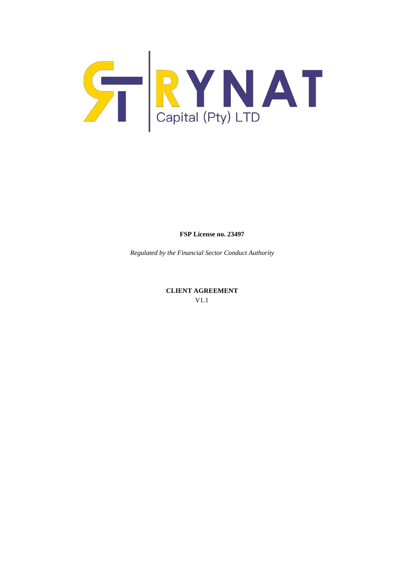

**FSP License no. 23497**

*Regulated by the Financial Sector Conduct Authority*

**CLIENT AGREEMENT** V1.1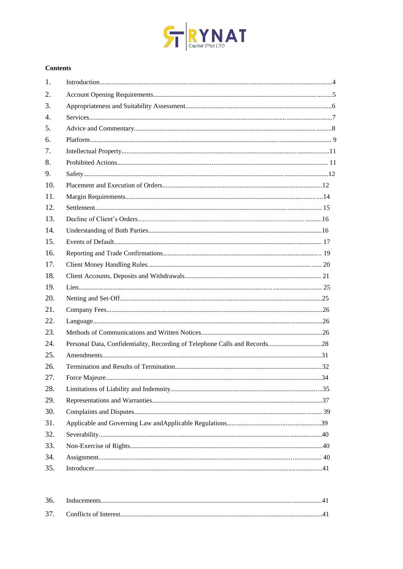

# **Contents**

| 1.  |  |
|-----|--|
| 2.  |  |
| 3.  |  |
| 4.  |  |
| 5.  |  |
| 6.  |  |
| 7.  |  |
| 8.  |  |
| 9.  |  |
| 10. |  |
| 11. |  |
| 12. |  |
| 13. |  |
| 14. |  |
| 15. |  |
| 16. |  |
| 17. |  |
| 18. |  |
| 19. |  |
| 20. |  |
| 21. |  |
| 22. |  |
| 23. |  |
| 24. |  |
| 25. |  |
| 26. |  |
| 27. |  |
| 28. |  |
| 29. |  |
| 30. |  |
| 31. |  |
| 32. |  |
| 33. |  |
| 34. |  |
| 35. |  |

| 36. |  |
|-----|--|
|     |  |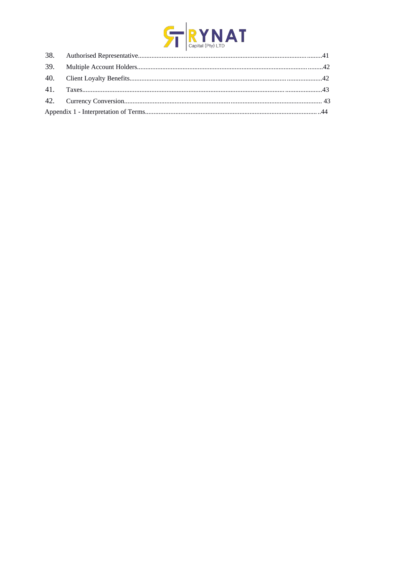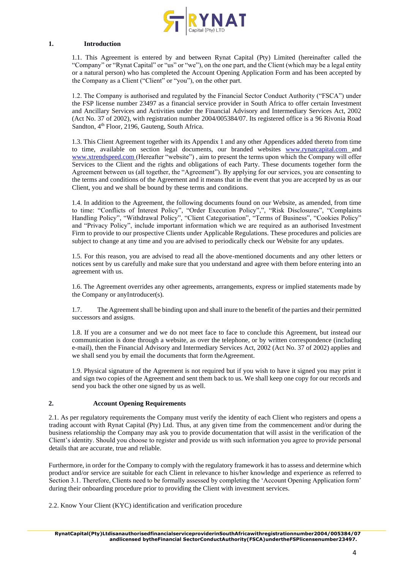

## **1. Introduction**

1.1. This Agreement is entered by and between Rynat Capital (Pty) Limited (hereinafter called the "Company" or "Rynat Capital" or "us" or "we"), on the one part, and the Client (which may be a legal entity or a natural person) who has completed the Account Opening Application Form and has been accepted by the Company as a Client ("Client" or "you"), on the other part.

1.2. The Company is authorised and regulated by the Financial Sector Conduct Authority ("FSCA") under the FSP license number 23497 as a financial service provider in South Africa to offer certain Investment and Ancillary Services and Activities under the Financial Advisory and Intermediary Services Act, 2002 (Act No. 37 of 2002), with registration number 2004/005384/07. Its registered office is a 96 Rivonia Road Sandton, 4<sup>th</sup> Floor, 2196, Gauteng, South Africa.

1.3. This Client Agreement together with its Appendix 1 and any other Appendices added thereto from time to time, available on section legal documents, our branded websites [www.rynatcapital.com](http://www.rynatcapital.com/) and [www.xtrendspeed.com](http://www.xtrendspeed.com/) (Hereafter "website") , aim to present the terms upon which the Company will offer Services to the Client and the rights and obligations of each Party. These documents together form the Agreement between us (all together, the "Agreement"). By applying for our services, you are consenting to the terms and conditions of the Agreement and it means that in the event that you are accepted by us as our Client, you and we shall be bound by these terms and conditions.

1.4. In addition to the Agreement, the following documents found on our Website, as amended, from time to time: "Conflicts of Interest Policy", "Order Execution Policy",", "Risk Disclosures", "Complaints Handling Policy", "Withdrawal Policy", "Client Categorisation", "Terms of Business", "Cookies Policy" and "Privacy Policy", include important information which we are required as an authorised Investment Firm to provide to our prospective Clients under Applicable Regulations. These procedures and policies are subject to change at any time and you are advised to periodically check our Website for any updates.

1.5. For this reason, you are advised to read all the above-mentioned documents and any other letters or notices sent by us carefully and make sure that you understand and agree with them before entering into an agreement with us.

1.6. The Agreement overrides any other agreements, arrangements, express or implied statements made by the Company or anyIntroducer(s).

1.7. The Agreement shall be binding upon and shall inure to the benefit of the parties and their permitted successors and assigns.

1.8. If you are a consumer and we do not meet face to face to conclude this Agreement, but instead our communication is done through a website, as over the telephone, or by written correspondence (including e-mail), then the Financial Advisory and Intermediary Services Act, 2002 (Act No. 37 of 2002) applies and we shall send you by email the documents that form theAgreement.

1.9. Physical signature of the Agreement is not required but if you wish to have it signed you may print it and sign two copies of the Agreement and sent them back to us. We shall keep one copy for our records and send you back the other one signed by us as well.

## **2. Account Opening Requirements**

2.1. As per regulatory requirements the Company must verify the identity of each Client who registers and opens a trading account with Rynat Capital (Pty) Ltd. Thus, at any given time from the commencement and/or during the business relationship the Company may ask you to provide documentation that will assist in the verification of the Client's identity. Should you choose to register and provide us with such information you agree to provide personal details that are accurate, true and reliable.

Furthermore, in order for the Company to comply with the regulatory framework it has to assess and determine which product and/or service are suitable for each Client in relevance to his/her knowledge and experience as referred to Section 3.1. Therefore, Clients need to be formally assessed by completing the 'Account Opening Application form' during their onboarding procedure prior to providing the Client with investment services.

2.2. Know Your Client (KYC) identification and verification procedure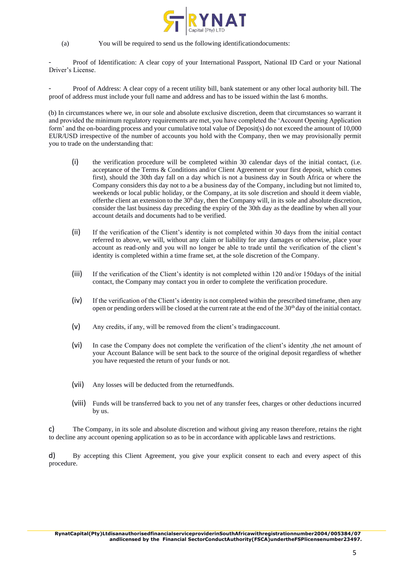

(a) You will be required to send us the following identificationdocuments:

- Proof of Identification: A clear copy of your International Passport, National ID Card or your National Driver's License.

- Proof of Address: A clear copy of a recent utility bill, bank statement or any other local authority bill. The proof of address must include your full name and address and has to be issued within the last 6 months.

(b) In circumstances where we, in our sole and absolute exclusive discretion, deem that circumstances so warrant it and provided the minimum regulatory requirements are met, you have completed the 'Account Opening Application form' and the on-boarding process and your cumulative total value of Deposit(s) do not exceed the amount of 10,000 EUR/USD irrespective of the number of accounts you hold with the Company, then we may provisionally permit you to trade on the understanding that:

- (i) the verification procedure will be completed within 30 calendar days of the initial contact, (i.e. acceptance of the Terms & Conditions and/or Client Agreement or your first deposit, which comes first), should the 30th day fall on a day which is not a business day in South Africa or where the Company considers this day not to a be a business day of the Company, including but not limited to, weekends or local public holiday, or the Company, at its sole discretion and should it deem viable, offerthe client an extension to the  $30<sup>h</sup>$  day, then the Company will, in its sole and absolute discretion, consider the last business day preceding the expiry of the 30th day as the deadline by when all your account details and documents had to be verified.
- (ii) If the verification of the Client's identity is not completed within 30 days from the initial contact referred to above, we will, without any claim or liability for any damages or otherwise, place your account as read-only and you will no longer be able to trade until the verification of the client's identity is completed within a time frame set, at the sole discretion of the Company.
- (iii) If the verification of the Client's identity is not completed within 120 and/or 150days of the initial contact, the Company may contact you in order to complete the verification procedure.
- (iv) If the verification of the Client's identity is not completed within the prescribed timeframe, then any open or pending orders will be closed at the current rate at the end of the  $30<sup>th</sup>$  day of the initial contact.
- (v) Any credits, if any, will be removed from the client's tradingaccount.
- (vi) In case the Company does not complete the verification of the client's identity ,the net amount of your Account Balance will be sent back to the source of the original deposit regardless of whether you have requested the return of your funds or not.
- (vii) Any losses will be deducted from the returnedfunds.
- (viii) Funds will be transferred back to you net of any transfer fees, charges or other deductions incurred by us.

c) The Company, in its sole and absolute discretion and without giving any reason therefore, retains the right to decline any account opening application so as to be in accordance with applicable laws and restrictions.

d) By accepting this Client Agreement, you give your explicit consent to each and every aspect of this procedure.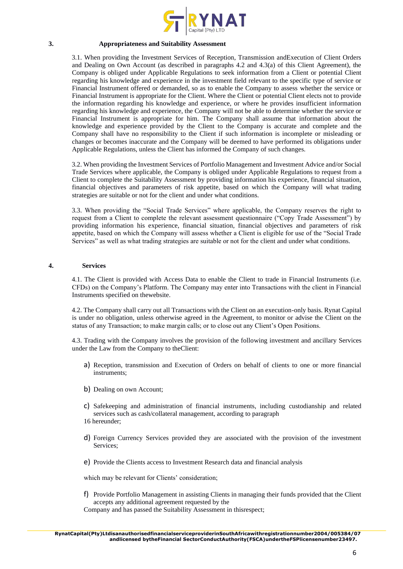

#### **3. Appropriateness and Suitability Assessment**

3.1. When providing the Investment Services of Reception, Transmission andExecution of Client Orders and Dealing on Own Account (as described in paragraphs 4.2 and 4.3(a) of this Client Agreement), the Company is obliged under Applicable Regulations to seek information from a Client or potential Client regarding his knowledge and experience in the investment field relevant to the specific type of service or Financial Instrument offered or demanded, so as to enable the Company to assess whether the service or Financial Instrument is appropriate for the Client. Where the Client or potential Client elects not to provide the information regarding his knowledge and experience, or where he provides insufficient information regarding his knowledge and experience, the Company will not be able to determine whether the service or Financial Instrument is appropriate for him. The Company shall assume that information about the knowledge and experience provided by the Client to the Company is accurate and complete and the Company shall have no responsibility to the Client if such information is incomplete or misleading or changes or becomes inaccurate and the Company will be deemed to have performed its obligations under Applicable Regulations, unless the Client has informed the Company of such changes.

3.2. When providing the Investment Services of Portfolio Management and Investment Advice and/or Social Trade Services where applicable, the Company is obliged under Applicable Regulations to request from a Client to complete the Suitability Assessment by providing information his experience, financial situation, financial objectives and parameters of risk appetite, based on which the Company will what trading strategies are suitable or not for the client and under what conditions.

3.3. When providing the "Social Trade Services" where applicable, the Company reserves the right to request from a Client to complete the relevant assessment questionnaire ("Copy Trade Assessment") by providing information his experience, financial situation, financial objectives and parameters of risk appetite, based on which the Company will assess whether a Client is eligible for use of the "Social Trade Services" as well as what trading strategies are suitable or not for the client and under what conditions.

#### **4. Services**

4.1. The Client is provided with Access Data to enable the Client to trade in Financial Instruments (i.e. CFDs) on the Company's Platform. The Company may enter into Transactions with the client in Financial Instruments specified on thewebsite.

4.2. The Company shall carry out all Transactions with the Client on an execution-only basis. Rynat Capital is under no obligation, unless otherwise agreed in the Agreement, to monitor or advise the Client on the status of any Transaction; to make margin calls; or to close out any Client's Open Positions.

4.3. Trading with the Company involves the provision of the following investment and ancillary Services under the Law from the Company to theClient:

- a) Reception, transmission and Execution of Orders on behalf of clients to one or more financial instruments;
- b) Dealing on own Account;
- c) Safekeeping and administration of financial instruments, including custodianship and related services such as cash/collateral management, according to paragraph
- 16 hereunder;
- d) Foreign Currency Services provided they are associated with the provision of the investment Services;
- e) Provide the Clients access to Investment Research data and financial analysis

which may be relevant for Clients' consideration;

f) Provide Portfolio Management in assisting Clients in managing their funds provided that the Client accepts any additional agreement requested by the

Company and has passed the Suitability Assessment in thisrespect;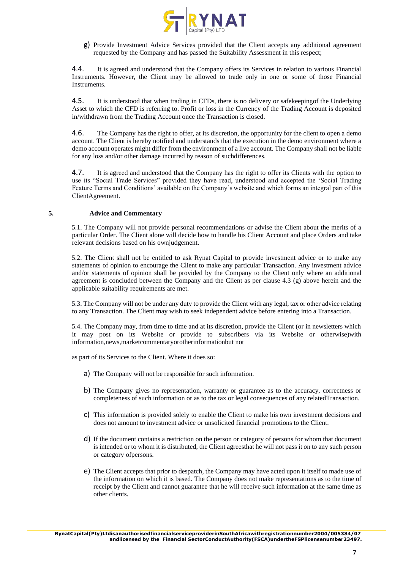

g) Provide Investment Advice Services provided that the Client accepts any additional agreement requested by the Company and has passed the Suitability Assessment in this respect;

4.4. It is agreed and understood that the Company offers its Services in relation to various Financial Instruments. However, the Client may be allowed to trade only in one or some of those Financial Instruments.

4.5. It is understood that when trading in CFDs, there is no delivery or safekeepingof the Underlying Asset to which the CFD is referring to. Profit or loss in the Currency of the Trading Account is deposited in/withdrawn from the Trading Account once the Transaction is closed.

4.6. The Company has the right to offer, at its discretion, the opportunity for the client to open a demo account. The Client is hereby notified and understands that the execution in the demo environment where a demo account operates might differ from the environment of a live account. The Company shall not be liable for any loss and/or other damage incurred by reason of suchdifferences.

4.7. It is agreed and understood that the Company has the right to offer its Clients with the option to use its "Social Trade Services" provided they have read, understood and accepted the 'Social Trading Feature Terms and Conditions' available on the Company's website and which forms an integral part of this ClientAgreement.

# **5. Advice and Commentary**

5.1. The Company will not provide personal recommendations or advise the Client about the merits of a particular Order. The Client alone will decide how to handle his Client Account and place Orders and take relevant decisions based on his ownjudgement.

5.2. The Client shall not be entitled to ask Rynat Capital to provide investment advice or to make any statements of opinion to encourage the Client to make any particular Transaction. Any investment advice and/or statements of opinion shall be provided by the Company to the Client only where an additional agreement is concluded between the Company and the Client as per clause 4.3 (g) above herein and the applicable suitability requirements are met.

5.3. The Company will not be under any duty to provide the Client with any legal, tax or other advice relating to any Transaction. The Client may wish to seek independent advice before entering into a Transaction.

5.4. The Company may, from time to time and at its discretion, provide the Client (or in newsletters which it may post on its Website or provide to subscribers via its Website or otherwise)with information,news,marketcommentaryorotherinformationbut not

as part of its Services to the Client. Where it does so:

- a) The Company will not be responsible for such information.
- b) The Company gives no representation, warranty or guarantee as to the accuracy, correctness or completeness of such information or as to the tax or legal consequences of any relatedTransaction.
- c) This information is provided solely to enable the Client to make his own investment decisions and does not amount to investment advice or unsolicited financial promotions to the Client.
- d) If the document contains a restriction on the person or category of persons for whom that document is intended or to whom it is distributed, the Client agreesthat he will not pass it on to any such person or category ofpersons.
- e) The Client accepts that prior to despatch, the Company may have acted upon it itself to made use of the information on which it is based. The Company does not make representations as to the time of receipt by the Client and cannot guarantee that he will receive such information at the same time as other clients.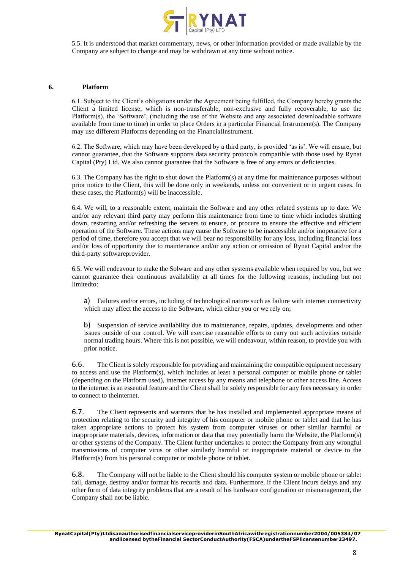

5.5. It is understood that market commentary, news, or other information provided or made available by the Company are subject to change and may be withdrawn at any time without notice.

## **6. Platform**

6.1. Subject to the Client's obligations under the Agreement being fulfilled, the Company hereby grants the Client a limited license, which is non-transferable, non-exclusive and fully recoverable, to use the Platform(s), the 'Software', (including the use of the Website and any associated downloadable software available from time to time) in order to place Orders in a particular Financial Instrument(s). The Company may use different Platforms depending on the FinancialInstrument.

6.2. The Software, which may have been developed by a third party, is provided 'as is'. We will ensure, but cannot guarantee, that the Software supports data security protocols compatible with those used by Rynat Capital (Pty) Ltd. We also cannot guarantee that the Software is free of any errors or deficiencies.

6.3. The Company has the right to shut down the Platform(s) at any time for maintenance purposes without prior notice to the Client, this will be done only in weekends, unless not convenient or in urgent cases. In these cases, the Platform(s) will be inaccessible.

6.4. We will, to a reasonable extent, maintain the Software and any other related systems up to date. We and/or any relevant third party may perform this maintenance from time to time which includes shutting down, restarting and/or refreshing the servers to ensure, or procure to ensure the effective and efficient operation of the Software. These actions may cause the Software to be inaccessible and/or inoperative for a period of time, therefore you accept that we will bear no responsibility for any loss, including financial loss and/or loss of opportunity due to maintenance and/or any action or omission of Rynat Capital and/or the third-party softwareprovider.

6.5. We will endeavour to make the Solware and any other systems available when required by you, but we cannot guarantee their continuous availability at all times for the following reasons, including but not limitedto:

a) Failures and/or errors, including of technological nature such as failure with internet connectivity which may affect the access to the Software, which either you or we rely on;

b) Suspension of service availability due to maintenance, repairs, updates, developments and other issues outside of our control. We will exercise reasonable efforts to carry out such activities outside normal trading hours. Where this is not possible, we will endeavour, within reason, to provide you with prior notice.

6.6. The Client is solely responsible for providing and maintaining the compatible equipment necessary to access and use the Platform(s), which includes at least a personal computer or mobile phone or tablet (depending on the Platform used), internet access by any means and telephone or other access line. Access to the internet is an essential feature and the Client shall be solely responsible for any fees necessary in order to connect to theinternet.

6.7. The Client represents and warrants that he has installed and implemented appropriate means of protection relating to the security and integrity of his computer or mobile phone or tablet and that he has taken appropriate actions to protect his system from computer viruses or other similar harmful or inappropriate materials, devices, information or data that may potentially harm the Website, the Platform(s) or other systems of the Company. The Client further undertakes to protect the Company from any wrongful transmissions of computer virus or other similarly harmful or inappropriate material or device to the Platform(s) from his personal computer or mobile phone or tablet.

6.8. The Company will not be liable to the Client should his computer system or mobile phone or tablet fail, damage, destroy and/or format his records and data. Furthermore, if the Client incurs delays and any other form of data integrity problems that are a result of his hardware configuration or mismanagement, the Company shall not be liable.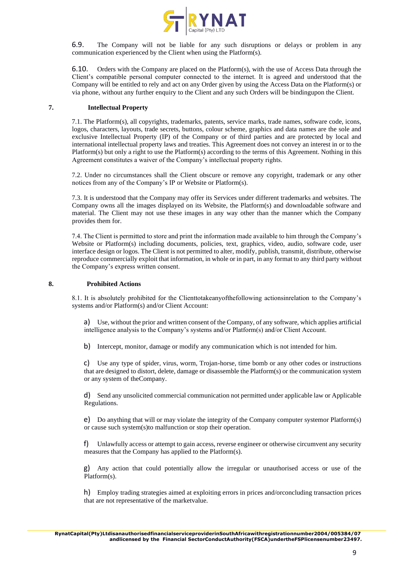

6.9. The Company will not be liable for any such disruptions or delays or problem in any communication experienced by the Client when using the Platform(s).

6.10. Orders with the Company are placed on the Platform(s), with the use of Access Data through the Client's compatible personal computer connected to the internet. It is agreed and understood that the Company will be entitled to rely and act on any Order given by using the Access Data on the Platform(s) or via phone, without any further enquiry to the Client and any such Orders will be bindingupon the Client.

## **7. Intellectual Property**

7.1. The Platform(s), all copyrights, trademarks, patents, service marks, trade names, software code, icons, logos, characters, layouts, trade secrets, buttons, colour scheme, graphics and data names are the sole and exclusive Intellectual Property (IP) of the Company or of third parties and are protected by local and international intellectual property laws and treaties. This Agreement does not convey an interest in or to the Platform(s) but only a right to use the Platform(s) according to the terms of this Agreement. Nothing in this Agreement constitutes a waiver of the Company's intellectual property rights.

7.2. Under no circumstances shall the Client obscure or remove any copyright, trademark or any other notices from any of the Company's IP or Website or Platform(s).

7.3. It is understood that the Company may offer its Services under different trademarks and websites. The Company owns all the images displayed on its Website, the Platform(s) and downloadable software and material. The Client may not use these images in any way other than the manner which the Company provides them for.

7.4. The Client is permitted to store and print the information made available to him through the Company's Website or Platform(s) including documents, policies, text, graphics, video, audio, software code, user interface design or logos. The Client is not permitted to alter, modify, publish, transmit, distribute, otherwise reproduce commercially exploit that information, in whole or in part, in any format to any third party without the Company's express written consent.

## **8. Prohibited Actions**

8.1. It is absolutely prohibited for the Clienttotakeanyofthefollowing actionsinrelation to the Company's systems and/or Platform(s) and/or Client Account:

a) Use, without the prior and written consent of the Company, of any software, which applies artificial intelligence analysis to the Company's systems and/or Platform(s) and/or Client Account.

b) Intercept, monitor, damage or modify any communication which is not intended for him.

c) Use any type of spider, virus, worm, Trojan-horse, time bomb or any other codes or instructions that are designed to distort, delete, damage or disassemble the Platform(s) or the communication system or any system of theCompany.

d) Send any unsolicited commercial communication not permitted under applicable law or Applicable Regulations.

e) Do anything that will or may violate the integrity of the Company computer systemor Platform(s) or cause such system(s)to malfunction or stop their operation.

f) Unlawfully access or attempt to gain access, reverse engineer or otherwise circumvent any security measures that the Company has applied to the Platform(s).

g) Any action that could potentially allow the irregular or unauthorised access or use of the Platform(s).

h) Employ trading strategies aimed at exploiting errors in prices and/orconcluding transaction prices that are not representative of the marketvalue.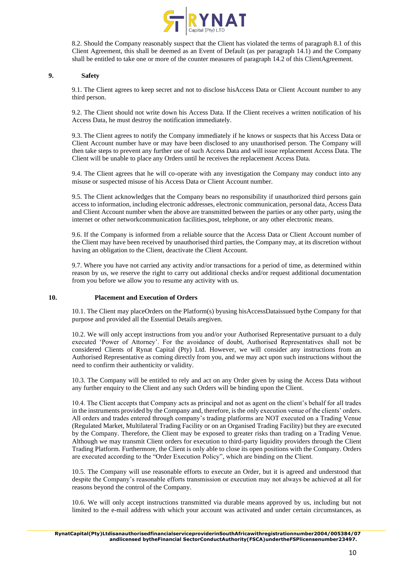

8.2. Should the Company reasonably suspect that the Client has violated the terms of paragraph 8.1 of this Client Agreement, this shall be deemed as an Event of Default (as per paragraph 14.1) and the Company shall be entitled to take one or more of the counter measures of paragraph 14.2 of this ClientAgreement.

## **9. Safety**

9.1. The Client agrees to keep secret and not to disclose hisAccess Data or Client Account number to any third person.

9.2. The Client should not write down his Access Data. If the Client receives a written notification of his Access Data, he must destroy the notification immediately.

9.3. The Client agrees to notify the Company immediately if he knows or suspects that his Access Data or Client Account number have or may have been disclosed to any unauthorised person. The Company will then take steps to prevent any further use of such Access Data and will issue replacement Access Data. The Client will be unable to place any Orders until he receives the replacement Access Data.

9.4. The Client agrees that he will co-operate with any investigation the Company may conduct into any misuse or suspected misuse of his Access Data or Client Account number.

9.5. The Client acknowledges that the Company bears no responsibility if unauthorized third persons gain access to information, including electronic addresses, electronic communication, personal data, Access Data and Client Account number when the above are transmitted between the parties or any other party, using the internet or other networkcommunication facilities,post, telephone, or any other electronic means.

9.6. If the Company is informed from a reliable source that the Access Data or Client Account number of the Client may have been received by unauthorised third parties, the Company may, at its discretion without having an obligation to the Client, deactivate the Client Account.

9.7. Where you have not carried any activity and/or transactions for a period of time, as determined within reason by us, we reserve the right to carry out additional checks and/or request additional documentation from you before we allow you to resume any activity with us.

#### **10. Placement and Execution of Orders**

10.1. The Client may placeOrders on the Platform(s) byusing hisAccessDataissued bythe Company for that purpose and provided all the Essential Details aregiven.

10.2. We will only accept instructions from you and/or your Authorised Representative pursuant to a duly executed 'Power of Attorney'. For the avoidance of doubt, Authorised Representatives shall not be considered Clients of Rynat Capital (Pty) Ltd. However, we will consider any instructions from an Authorised Representative as coming directly from you, and we may act upon such instructions without the need to confirm their authenticity or validity.

10.3. The Company will be entitled to rely and act on any Order given by using the Access Data without any further enquiry to the Client and any such Orders will be binding upon the Client.

10.4. The Client accepts that Company acts as principal and not as agent on the client's behalf for all trades in the instruments provided by the Company and, therefore, is the only execution venue of the clients' orders. All orders and trades entered through company's trading platforms are NOT executed on a Trading Venue (Regulated Market, Multilateral Trading Facility or on an Organised Trading Facility) but they are executed by the Company. Therefore, the Client may be exposed to greater risks than trading on a Trading Venue. Although we may transmit Client orders for execution to third-party liquidity providers through the Client Trading Platform. Furthermore, the Client is only able to close its open positions with the Company. Orders are executed according to the "Order Execution Policy", which are binding on the Client.

10.5. The Company will use reasonable efforts to execute an Order, but it is agreed and understood that despite the Company's reasonable efforts transmission or execution may not always be achieved at all for reasons beyond the control of the Company.

10.6. We will only accept instructions transmitted via durable means approved by us, including but not limited to the e-mail address with which your account was activated and under certain circumstances, as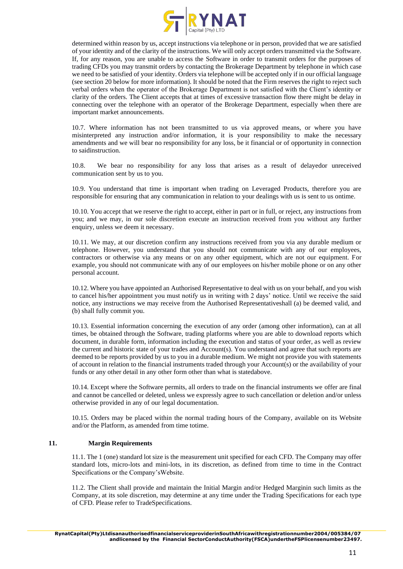

determined within reason by us, accept instructions via telephone or in person, provided that we are satisfied of your identity and of the clarity of the instructions. We will only accept orders transmitted via the Software. If, for any reason, you are unable to access the Software in order to transmit orders for the purposes of trading CFDs you may transmit orders by contacting the Brokerage Department by telephone in which case we need to be satisfied of your identity. Orders via telephone will be accepted only if in our official language (see section 20 below for more information). It should be noted that the Firm reserves the right to reject such verbal orders when the operator of the Brokerage Department is not satisfied with the Client's identity or clarity of the orders. The Client accepts that at times of excessive transaction flow there might be delay in connecting over the telephone with an operator of the Brokerage Department, especially when there are important market announcements.

10.7. Where information has not been transmitted to us via approved means, or where you have misinterpreted any instruction and/or information, it is your responsibility to make the necessary amendments and we will bear no responsibility for any loss, be it financial or of opportunity in connection to saidinstruction.

10.8. We bear no responsibility for any loss that arises as a result of delayedor unreceived communication sent by us to you.

10.9. You understand that time is important when trading on Leveraged Products, therefore you are responsible for ensuring that any communication in relation to your dealings with us is sent to us ontime.

10.10. You accept that we reserve the right to accept, either in part or in full, or reject, any instructions from you; and we may, in our sole discretion execute an instruction received from you without any further enquiry, unless we deem it necessary.

10.11. We may, at our discretion confirm any instructions received from you via any durable medium or telephone. However, you understand that you should not communicate with any of our employees, contractors or otherwise via any means or on any other equipment, which are not our equipment. For example, you should not communicate with any of our employees on his/her mobile phone or on any other personal account.

10.12. Where you have appointed an Authorised Representative to deal with us on your behalf, and you wish to cancel his/her appointment you must notify us in writing with 2 days' notice. Until we receive the said notice, any instructions we may receive from the Authorised Representativeshall (a) be deemed valid, and (b) shall fully commit you.

10.13. Essential information concerning the execution of any order (among other information), can at all times, be obtained through the Software, trading platforms where you are able to download reports which document, in durable form, information including the execution and status of your order, as well as review the current and historic state of your trades and Account(s). You understand and agree that such reports are deemed to be reports provided by us to you in a durable medium. We might not provide you with statements of account in relation to the financial instruments traded through your Account(s) or the availability of your funds or any other detail in any other form other than what is statedabove.

10.14. Except where the Software permits, all orders to trade on the financial instruments we offer are final and cannot be cancelled or deleted, unless we expressly agree to such cancellation or deletion and/or unless otherwise provided in any of our legal documentation.

10.15. Orders may be placed within the normal trading hours of the Company, available on its Website and/or the Platform, as amended from time totime.

# **11. Margin Requirements**

11.1. The 1 (one) standard lot size is the measurement unit specified for each CFD. The Company may offer standard lots, micro-lots and mini-lots, in its discretion, as defined from time to time in the Contract Specifications or the Company'sWebsite.

11.2. The Client shall provide and maintain the Initial Margin and/or Hedged Marginin such limits as the Company, at its sole discretion, may determine at any time under the Trading Specifications for each type of CFD. Please refer to TradeSpecifications.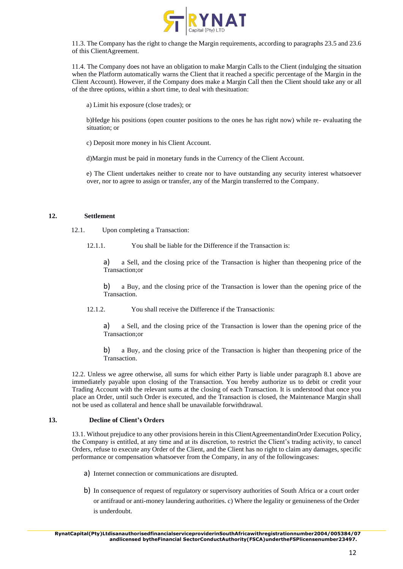

11.3. The Company has the right to change the Margin requirements, according to paragraphs 23.5 and 23.6 of this ClientAgreement.

11.4. The Company does not have an obligation to make Margin Calls to the Client (indulging the situation when the Platform automatically warns the Client that it reached a specific percentage of the Margin in the Client Account). However, if the Company does make a Margin Call then the Client should take any or all of the three options, within a short time, to deal with thesituation:

a) Limit his exposure (close trades); or

b)Hedge his positions (open counter positions to the ones he has right now) while re- evaluating the situation; or

c) Deposit more money in his Client Account.

d)Margin must be paid in monetary funds in the Currency of the Client Account.

e) The Client undertakes neither to create nor to have outstanding any security interest whatsoever over, nor to agree to assign or transfer, any of the Margin transferred to the Company.

## **12. Settlement**

12.1. Upon completing a Transaction:

12.1.1. You shall be liable for the Difference if the Transaction is:

a) a Sell, and the closing price of the Transaction is higher than theopening price of the Transaction;or

b) a Buy, and the closing price of the Transaction is lower than the opening price of the Transaction.

12.1.2. You shall receive the Difference if the Transactionis:

a) a Sell, and the closing price of the Transaction is lower than the opening price of the Transaction;or

b) a Buy, and the closing price of the Transaction is higher than theopening price of the Transaction.

12.2. Unless we agree otherwise, all sums for which either Party is liable under paragraph 8.1 above are immediately payable upon closing of the Transaction. You hereby authorize us to debit or credit your Trading Account with the relevant sums at the closing of each Transaction. It is understood that once you place an Order, until such Order is executed, and the Transaction is closed, the Maintenance Margin shall not be used as collateral and hence shall be unavailable forwithdrawal.

# **13. Decline of Client's Orders**

13.1. Without prejudice to any other provisions herein in this ClientAgreementandinOrder Execution Policy, the Company is entitled, at any time and at its discretion, to restrict the Client's trading activity, to cancel Orders, refuse to execute any Order of the Client, and the Client has no right to claim any damages, specific performance or compensation whatsoever from the Company, in any of the followingcases:

- a) Internet connection or communications are disrupted.
- b) In consequence of request of regulatory or supervisory authorities of South Africa or a court order or antifraud or anti-money laundering authorities. c) Where the legality or genuineness of the Order is underdoubt.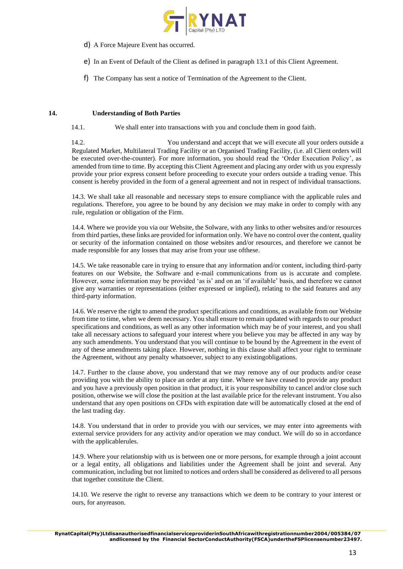

- d) A Force Majeure Event has occurred.
- e) In an Event of Default of the Client as defined in paragraph 13.1 of this Client Agreement.
- f) The Company has sent a notice of Termination of the Agreement to the Client.

## **14. Understanding of Both Parties**

14.1. We shall enter into transactions with you and conclude them in good faith.

14.2. You understand and accept that we will execute all your orders outside a Regulated Market, Multilateral Trading Facility or an Organised Trading Facility, (i.e. all Client orders will be executed over-the-counter). For more information, you should read the 'Order Execution Policy', as amended from time to time. By accepting this Client Agreement and placing any order with us you expressly provide your prior express consent before proceeding to execute your orders outside a trading venue. This consent is hereby provided in the form of a general agreement and not in respect of individual transactions.

14.3. We shall take all reasonable and necessary steps to ensure compliance with the applicable rules and regulations. Therefore, you agree to be bound by any decision we may make in order to comply with any rule, regulation or obligation of the Firm.

14.4. Where we provide you via our Website, the Solware, with any links to other websites and/or resources from third parties, these links are provided for information only. We have no control over the content, quality or security of the information contained on those websites and/or resources, and therefore we cannot be made responsible for any losses that may arise from your use ofthese.

14.5. We take reasonable care in trying to ensure that any information and/or content, including third-party features on our Website, the Software and e-mail communications from us is accurate and complete. However, some information may be provided 'as is' and on an 'if available' basis, and therefore we cannot give any warranties or representations (either expressed or implied), relating to the said features and any third-party information.

14.6. We reserve the right to amend the product specifications and conditions, as available from our Website from time to time, when we deem necessary. You shall ensure to remain updated with regards to our product specifications and conditions, as well as any other information which may be of your interest, and you shall take all necessary actions to safeguard your interest where you believe you may be affected in any way by any such amendments. You understand that you will continue to be bound by the Agreement in the event of any of these amendments taking place. However, nothing in this clause shall affect your right to terminate the Agreement, without any penalty whatsoever, subject to any existingobligations.

14.7. Further to the clause above, you understand that we may remove any of our products and/or cease providing you with the ability to place an order at any time. Where we have ceased to provide any product and you have a previously open position in that product, it is your responsibility to cancel and/or close such position, otherwise we will close the position at the last available price for the relevant instrument. You also understand that any open positions on CFDs with expiration date will be automatically closed at the end of the last trading day.

14.8. You understand that in order to provide you with our services, we may enter into agreements with external service providers for any activity and/or operation we may conduct. We will do so in accordance with the applicablerules.

14.9. Where your relationship with us is between one or more persons, for example through a joint account or a legal entity, all obligations and liabilities under the Agreement shall be joint and several. Any communication, including but not limited to notices and orders shall be considered as delivered to all persons that together constitute the Client.

14.10. We reserve the right to reverse any transactions which we deem to be contrary to your interest or ours, for anyreason.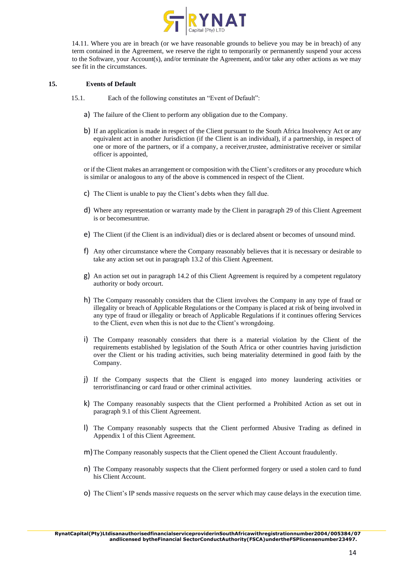

14.11. Where you are in breach (or we have reasonable grounds to believe you may be in breach) of any term contained in the Agreement, we reserve the right to temporarily or permanently suspend your access to the Software, your Account(s), and/or terminate the Agreement, and/or take any other actions as we may see fit in the circumstances.

#### **15. Events of Default**

- 15.1. Each of the following constitutes an "Event of Default":
	- a) The failure of the Client to perform any obligation due to the Company.
	- b) If an application is made in respect of the Client pursuant to the South Africa Insolvency Act or any equivalent act in another Jurisdiction (if the Client is an individual), if a partnership, in respect of one or more of the partners, or if a company, a receiver,trustee, administrative receiver or similar officer is appointed,

or if the Client makes an arrangement or composition with the Client's creditors or any procedure which is similar or analogous to any of the above is commenced in respect of the Client.

- c) The Client is unable to pay the Client's debts when they fall due.
- d) Where any representation or warranty made by the Client in paragraph 29 of this Client Agreement is or becomesuntrue.
- e) The Client (if the Client is an individual) dies or is declared absent or becomes of unsound mind.
- f) Any other circumstance where the Company reasonably believes that it is necessary or desirable to take any action set out in paragraph 13.2 of this Client Agreement.
- g) An action set out in paragraph 14.2 of this Client Agreement is required by a competent regulatory authority or body orcourt.
- h) The Company reasonably considers that the Client involves the Company in any type of fraud or illegality or breach of Applicable Regulations or the Company is placed at risk of being involved in any type of fraud or illegality or breach of Applicable Regulations if it continues offering Services to the Client, even when this is not due to the Client's wrongdoing.
- i) The Company reasonably considers that there is a material violation by the Client of the requirements established by legislation of the South Africa or other countries having jurisdiction over the Client or his trading activities, such being materiality determined in good faith by the Company.
- j) If the Company suspects that the Client is engaged into money laundering activities or terroristfinancing or card fraud or other criminal activities.
- k) The Company reasonably suspects that the Client performed a Prohibited Action as set out in paragraph 9.1 of this Client Agreement.
- l) The Company reasonably suspects that the Client performed Abusive Trading as defined in Appendix 1 of this Client Agreement.
- m)The Company reasonably suspects that the Client opened the Client Account fraudulently.
- n) The Company reasonably suspects that the Client performed forgery or used a stolen card to fund his Client Account.
- o) The Client's IP sends massive requests on the server which may cause delays in the execution time.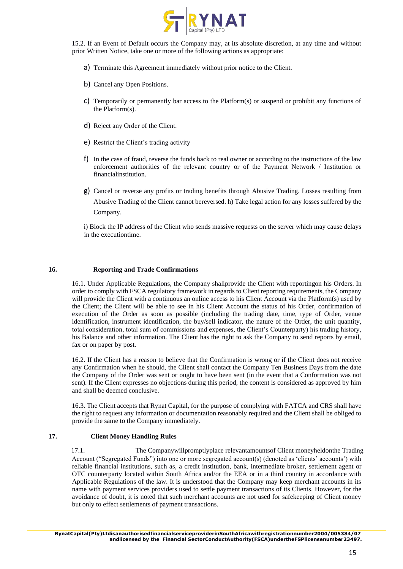

15.2. If an Event of Default occurs the Company may, at its absolute discretion, at any time and without prior Written Notice, take one or more of the following actions as appropriate:

- a) Terminate this Agreement immediately without prior notice to the Client.
- b) Cancel any Open Positions.
- c) Temporarily or permanently bar access to the Platform(s) or suspend or prohibit any functions of the Platform(s).
- d) Reject any Order of the Client.
- e) Restrict the Client's trading activity
- f) In the case of fraud, reverse the funds back to real owner or according to the instructions of the law enforcement authorities of the relevant country or of the Payment Network / Institution or financialinstitution.
- g) Cancel or reverse any profits or trading benefits through Abusive Trading. Losses resulting from Abusive Trading of the Client cannot bereversed. h) Take legal action for any losses suffered by the Company.

i) Block the IP address of the Client who sends massive requests on the server which may cause delays in the executiontime.

#### **16. Reporting and Trade Confirmations**

16.1. Under Applicable Regulations, the Company shallprovide the Client with reportingon his Orders. In order to comply with FSCA regulatory framework in regards to Client reporting requirements, the Company will provide the Client with a continuous an online access to his Client Account via the Platform(s) used by the Client; the Client will be able to see in his Client Account the status of his Order, confirmation of execution of the Order as soon as possible (including the trading date, time, type of Order, venue identification, instrument identification, the buy/sell indicator, the nature of the Order, the unit quantity, total consideration, total sum of commissions and expenses, the Client's Counterparty) his trading history, his Balance and other information. The Client has the right to ask the Company to send reports by email, fax or on paper by post.

16.2. If the Client has a reason to believe that the Confirmation is wrong or if the Client does not receive any Confirmation when he should, the Client shall contact the Company Ten Business Days from the date the Company of the Order was sent or ought to have been sent (in the event that a Conformation was not sent). If the Client expresses no objections during this period, the content is considered as approved by him and shall be deemed conclusive.

16.3. The Client accepts that Rynat Capital, for the purpose of complying with FATCA and CRS shall have the right to request any information or documentation reasonably required and the Client shall be obliged to provide the same to the Company immediately.

## **17. Client Money Handling Rules**

17.1. The Companywillpromptlyplace relevantamountsof Client moneyheldonthe Trading Account ("Segregated Funds") into one or more segregated account(s) (denoted as 'clients' accounts') with reliable financial institutions, such as, a credit institution, bank, intermediate broker, settlement agent or OTC counterparty located within South Africa and/or the EEA or in a third country in accordance with Applicable Regulations of the law. It is understood that the Company may keep merchant accounts in its name with payment services providers used to settle payment transactions of its Clients. However, for the avoidance of doubt, it is noted that such merchant accounts are not used for safekeeping of Client money but only to effect settlements of payment transactions.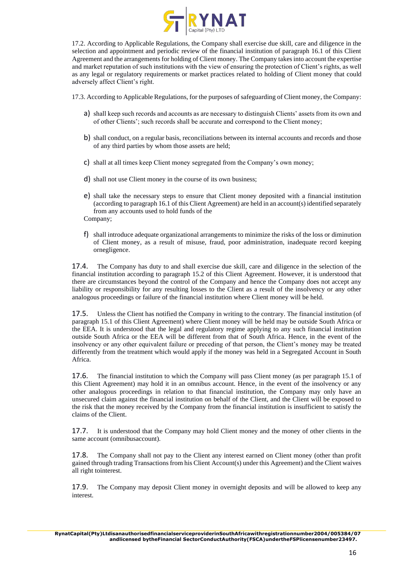

17.2. According to Applicable Regulations, the Company shall exercise due skill, care and diligence in the selection and appointment and periodic review of the financial institution of paragraph 16.1 of this Client Agreement and the arrangements for holding of Client money. The Company takes into account the expertise and market reputation of such institutions with the view of ensuring the protection of Client's rights, as well as any legal or regulatory requirements or market practices related to holding of Client money that could adversely affect Client's right.

17.3. According to Applicable Regulations, for the purposes of safeguarding of Client money, the Company:

- a) shall keep such records and accounts as are necessary to distinguish Clients' assets from its own and of other Clients'; such records shall be accurate and correspond to the Client money;
- b) shall conduct, on a regular basis, reconciliations between its internal accounts and records and those of any third parties by whom those assets are held;
- c) shall at all times keep Client money segregated from the Company's own money;
- d) shall not use Client money in the course of its own business;
- e) shall take the necessary steps to ensure that Client money deposited with a financial institution (according to paragraph 16.1 of this Client Agreement) are held in an account(s) identified separately from any accounts used to hold funds of the

Company;

f) shall introduce adequate organizational arrangements to minimize the risks of the loss or diminution of Client money, as a result of misuse, fraud, poor administration, inadequate record keeping ornegligence.

17.4. The Company has duty to and shall exercise due skill, care and diligence in the selection of the financial institution according to paragraph 15.2 of this Client Agreement. However, it is understood that there are circumstances beyond the control of the Company and hence the Company does not accept any liability or responsibility for any resulting losses to the Client as a result of the insolvency or any other analogous proceedings or failure of the financial institution where Client money will be held.

17.5. Unless the Client has notified the Company in writing to the contrary. The financial institution (of paragraph 15.1 of this Client Agreement) where Client money will be held may be outside South Africa or the EEA. It is understood that the legal and regulatory regime applying to any such financial institution outside South Africa or the EEA will be different from that of South Africa. Hence, in the event of the insolvency or any other equivalent failure or preceding of that person, the Client's money may be treated differently from the treatment which would apply if the money was held in a Segregated Account in South Africa.

17.6. The financial institution to which the Company will pass Client money (as per paragraph 15.1 of this Client Agreement) may hold it in an omnibus account. Hence, in the event of the insolvency or any other analogous proceedings in relation to that financial institution, the Company may only have an unsecured claim against the financial institution on behalf of the Client, and the Client will be exposed to the risk that the money received by the Company from the financial institution is insufficient to satisfy the claims of the Client.

17.7. It is understood that the Company may hold Client money and the money of other clients in the same account (omnibusaccount).

17.8. The Company shall not pay to the Client any interest earned on Client money (other than profit gained through trading Transactions from his Client Account(s) under this Agreement) and the Client waives all right tointerest.

17.9. The Company may deposit Client money in overnight deposits and will be allowed to keep any interest.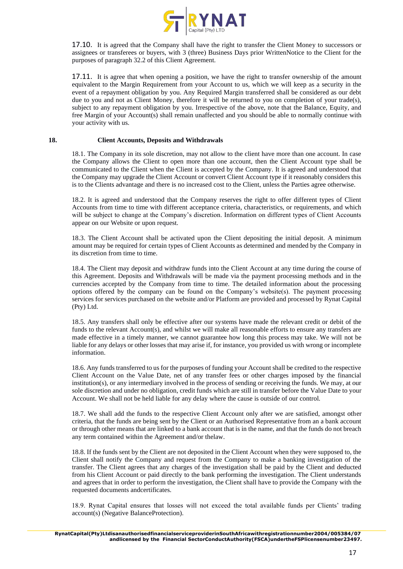

17.10. It is agreed that the Company shall have the right to transfer the Client Money to successors or assignees or transferees or buyers, with 3 (three) Business Days prior WrittenNotice to the Client for the purposes of paragraph 32.2 of this Client Agreement.

17.11. It is agree that when opening a position, we have the right to transfer ownership of the amount equivalent to the Margin Requirement from your Account to us, which we will keep as a security in the event of a repayment obligation by you. Any Required Margin transferred shall be considered as our debt due to you and not as Client Money, therefore it will be returned to you on completion of your trade(s), subject to any repayment obligation by you. Irrespective of the above, note that the Balance, Equity, and free Margin of your Account(s) shall remain unaffected and you should be able to normally continue with your activity with us.

#### **18. Client Accounts, Deposits and Withdrawals**

18.1. The Company in its sole discretion, may not allow to the client have more than one account. In case the Company allows the Client to open more than one account, then the Client Account type shall be communicated to the Client when the Client is accepted by the Company. It is agreed and understood that the Company may upgrade the Client Account or convert Client Account type if it reasonably considers this is to the Clients advantage and there is no increased cost to the Client, unless the Parties agree otherwise.

18.2. It is agreed and understood that the Company reserves the right to offer different types of Client Accounts from time to time with different acceptance criteria, characteristics, or requirements, and which will be subject to change at the Company's discretion. Information on different types of Client Accounts appear on our Website or upon request.

18.3. The Client Account shall be activated upon the Client depositing the initial deposit. A minimum amount may be required for certain types of Client Accounts as determined and mended by the Company in its discretion from time to time.

18.4. The Client may deposit and withdraw funds into the Client Account at any time during the course of this Agreement. Deposits and Withdrawals will be made via the payment processing methods and in the currencies accepted by the Company from time to time. The detailed information about the processing options offered by the company can be found on the Company's website(s). The payment processing services for services purchased on the website and/or Platform are provided and processed by Rynat Capital (Pty) Ltd.

18.5. Any transfers shall only be effective after our systems have made the relevant credit or debit of the funds to the relevant Account(s), and whilst we will make all reasonable efforts to ensure any transfers are made effective in a timely manner, we cannot guarantee how long this process may take. We will not be liable for any delays or other losses that may arise if, for instance, you provided us with wrong or incomplete information.

18.6. Any funds transferred to us for the purposes of funding your Account shall be credited to the respective Client Account on the Value Date, net of any transfer fees or other charges imposed by the financial institution(s), or any intermediary involved in the process of sending or receiving the funds. We may, at our sole discretion and under no obligation, credit funds which are still in transfer before the Value Date to your Account. We shall not be held liable for any delay where the cause is outside of our control.

18.7. We shall add the funds to the respective Client Account only after we are satisfied, amongst other criteria, that the funds are being sent by the Client or an Authorised Representative from an a bank account or through other means that are linked to a bank account that is in the name, and that the funds do not breach any term contained within the Agreement and/or thelaw.

18.8. If the funds sent by the Client are not deposited in the Client Account when they were supposed to, the Client shall notify the Company and request from the Company to make a banking investigation of the transfer. The Client agrees that any charges of the investigation shall be paid by the Client and deducted from his Client Account or paid directly to the bank performing the investigation. The Client understands and agrees that in order to perform the investigation, the Client shall have to provide the Company with the requested documents andcertificates.

18.9. Rynat Capital ensures that losses will not exceed the total available funds per Clients' trading account(s) (Negative BalanceProtection).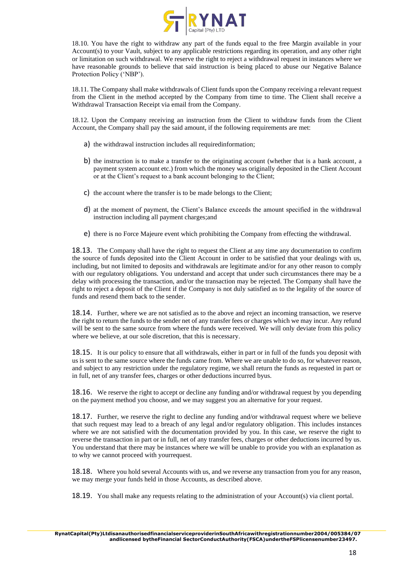

18.10. You have the right to withdraw any part of the funds equal to the free Margin available in your Account(s) to your Vault, subject to any applicable restrictions regarding its operation, and any other right or limitation on such withdrawal. We reserve the right to reject a withdrawal request in instances where we have reasonable grounds to believe that said instruction is being placed to abuse our Negative Balance Protection Policy ('NBP').

18.11. The Company shall make withdrawals of Client funds upon the Company receiving a relevant request from the Client in the method accepted by the Company from time to time. The Client shall receive a Withdrawal Transaction Receipt via email from the Company.

18.12. Upon the Company receiving an instruction from the Client to withdraw funds from the Client Account, the Company shall pay the said amount, if the following requirements are met:

- a) the withdrawal instruction includes all requiredinformation;
- b) the instruction is to make a transfer to the originating account (whether that is a bank account, a payment system account etc.) from which the money was originally deposited in the Client Account or at the Client's request to a bank account belonging to the Client;
- c) the account where the transfer is to be made belongs to the Client;
- d) at the moment of payment, the Client's Balance exceeds the amount specified in the withdrawal instruction including all payment charges;and
- e) there is no Force Majeure event which prohibiting the Company from effecting the withdrawal.

18.13. The Company shall have the right to request the Client at any time any documentation to confirm the source of funds deposited into the Client Account in order to be satisfied that your dealings with us, including, but not limited to deposits and withdrawals are legitimate and/or for any other reason to comply with our regulatory obligations. You understand and accept that under such circumstances there may be a delay with processing the transaction, and/or the transaction may be rejected. The Company shall have the right to reject a deposit of the Client if the Company is not duly satisfied as to the legality of the source of funds and resend them back to the sender.

**18.14.** Further, where we are not satisfied as to the above and reject an incoming transaction, we reserve the right to return the funds to the sender net of any transfer fees or charges which we may incur. Any refund will be sent to the same source from where the funds were received. We will only deviate from this policy where we believe, at our sole discretion, that this is necessary.

**18.15.** It is our policy to ensure that all withdrawals, either in part or in full of the funds you deposit with us is sent to the same source where the funds came from. Where we are unable to do so, for whatever reason, and subject to any restriction under the regulatory regime, we shall return the funds as requested in part or in full, net of any transfer fees, charges or other deductions incurred byus.

18.16. We reserve the right to accept or decline any funding and/or withdrawal request by you depending on the payment method you choose, and we may suggest you an alternative for your request.

18.17. Further, we reserve the right to decline any funding and/or withdrawal request where we believe that such request may lead to a breach of any legal and/or regulatory obligation. This includes instances where we are not satisfied with the documentation provided by you. In this case, we reserve the right to reverse the transaction in part or in full, net of any transfer fees, charges or other deductions incurred by us. You understand that there may be instances where we will be unable to provide you with an explanation as to why we cannot proceed with yourrequest.

18.18. Where you hold several Accounts with us, and we reverse any transaction from you for any reason, we may merge your funds held in those Accounts, as described above.

18.19. You shall make any requests relating to the administration of your Account(s) via client portal.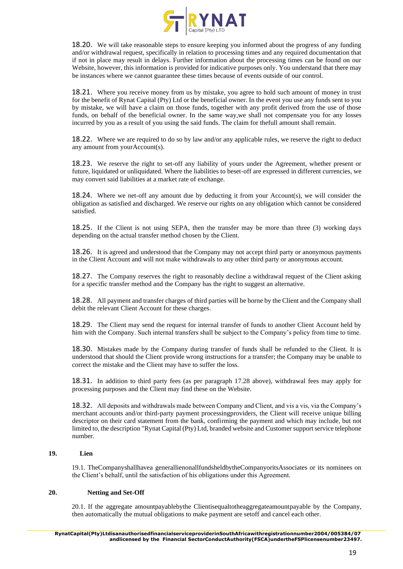

18.20. We will take reasonable steps to ensure keeping you informed about the progress of any funding and/or withdrawal request, specifically in relation to processing times and any required documentation that if not in place may result in delays. Further information about the processing times can be found on our Website, however, this information is provided for indicative purposes only. You understand that there may be instances where we cannot guarantee these times because of events outside of our control.

18.21. Where you receive money from us by mistake, you agree to hold such amount of money in trust for the benefit of Rynat Capital (Pty) Ltd or the beneficial owner. In the event you use any funds sent to you by mistake, we will have a claim on those funds, together with any profit derived from the use of those funds, on behalf of the beneficial owner. In the same way,we shall not compensate you for any losses incurred by you as a result of you using the said funds. The claim for thefull amount shall remain.

18.22. Where we are required to do so by law and/or any applicable rules, we reserve the right to deduct any amount from yourAccount(s).

18.23. We reserve the right to set-off any liability of yours under the Agreement, whether present or future, liquidated or unliquidated. Where the liabilities to beset-off are expressed in different currencies, we may convert said liabilities at a market rate of exchange.

18.24. Where we net-off any amount due by deducting it from your Account(s), we will consider the obligation as satisfied and discharged. We reserve our rights on any obligation which cannot be considered satisfied.

18.25. If the Client is not using SEPA, then the transfer may be more than three (3) working days depending on the actual transfer method chosen by the Client.

18.26. It is agreed and understood that the Company may not accept third party or anonymous payments in the Client Account and will not make withdrawals to any other third party or anonymous account.

18.27. The Company reserves the right to reasonably decline a withdrawal request of the Client asking for a specific transfer method and the Company has the right to suggest an alternative.

18.28. All payment and transfer charges of third parties will be borne by the Client and the Company shall debit the relevant Client Account for these charges.

18.29. The Client may send the request for internal transfer of funds to another Client Account held by him with the Company. Such internal transfers shall be subject to the Company's policy from time to time.

18.30. Mistakes made by the Company during transfer of funds shall be refunded to the Client. It is understood that should the Client provide wrong instructions for a transfer; the Company may be unable to correct the mistake and the Client may have to suffer the loss.

18.31. In addition to third party fees (as per paragraph 17.28 above), withdrawal fees may apply for processing purposes and the Client may find these on the Website.

18.32. All deposits and withdrawals made between Company and Client, and vis a vis, via the Company's merchant accounts and/or third-party payment processingproviders, the Client will receive unique billing descriptor on their card statement from the bank, confirming the payment and which may include, but not limited to, the description "Rynat Capital (Pty) Ltd, branded website and Customer support service telephone number.

## **19. Lien**

19.1. TheCompanyshallhavea generallienonallfundsheldbytheCompanyoritsAssociates or its nominees on the Client's behalf, until the satisfaction of his obligations under this Agreement.

## **20. Netting and Set-Off**

20.1. If the aggregate amountpayablebythe Clientisequaltotheaggregateamountpayable by the Company, then automatically the mutual obligations to make payment are setoff and cancel each other.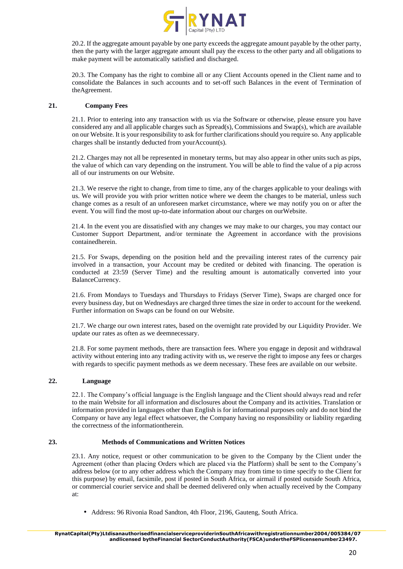

20.2. If the aggregate amount payable by one party exceeds the aggregate amount payable by the other party, then the party with the larger aggregate amount shall pay the excess to the other party and all obligations to make payment will be automatically satisfied and discharged.

20.3. The Company has the right to combine all or any Client Accounts opened in the Client name and to consolidate the Balances in such accounts and to set-off such Balances in the event of Termination of theAgreement.

# **21. Company Fees**

21.1. Prior to entering into any transaction with us via the Software or otherwise, please ensure you have considered any and all applicable charges such as Spread(s), Commissions and Swap(s), which are available on our Website. It is your responsibility to ask for further clarifications should you require so. Any applicable charges shall be instantly deducted from yourAccount(s).

21.2. Charges may not all be represented in monetary terms, but may also appear in other units such as pips, the value of which can vary depending on the instrument. You will be able to find the value of a pip across all of our instruments on our Website.

21.3. We reserve the right to change, from time to time, any of the charges applicable to your dealings with us. We will provide you with prior written notice where we deem the changes to be material, unless such change comes as a result of an unforeseen market circumstance, where we may notify you on or after the event. You will find the most up-to-date information about our charges on ourWebsite.

21.4. In the event you are dissatisfied with any changes we may make to our charges, you may contact our Customer Support Department, and/or terminate the Agreement in accordance with the provisions containedherein.

21.5. For Swaps, depending on the position held and the prevailing interest rates of the currency pair involved in a transaction, your Account may be credited or debited with financing. The operation is conducted at 23:59 (Server Time) and the resulting amount is automatically converted into your BalanceCurrency.

21.6. From Mondays to Tuesdays and Thursdays to Fridays (Server Time), Swaps are charged once for every business day, but on Wednesdays are charged three times the size in order to account for the weekend. Further information on Swaps can be found on our Website.

21.7. We charge our own interest rates, based on the overnight rate provided by our Liquidity Provider. We update our rates as often as we deemnecessary.

21.8. For some payment methods, there are transaction fees. Where you engage in deposit and withdrawal activity without entering into any trading activity with us, we reserve the right to impose any fees or charges with regards to specific payment methods as we deem necessary. These fees are available on our website.

## **22. Language**

22.1. The Company's official language is the English language and the Client should always read and refer to the main Website for all information and disclosures about the Company and its activities. Translation or information provided in languages other than English is for informational purposes only and do not bind the Company or have any legal effect whatsoever, the Company having no responsibility or liability regarding the correctness of the informationtherein.

## **23. Methods of Communications and Written Notices**

23.1. Any notice, request or other communication to be given to the Company by the Client under the Agreement (other than placing Orders which are placed via the Platform) shall be sent to the Company's address below (or to any other address which the Company may from time to time specify to the Client for this purpose) by email, facsimile, post if posted in South Africa, or airmail if posted outside South Africa, or commercial courier service and shall be deemed delivered only when actually received by the Company at:

• Address: 96 Rivonia Road Sandton, 4th Floor, 2196, Gauteng, South Africa.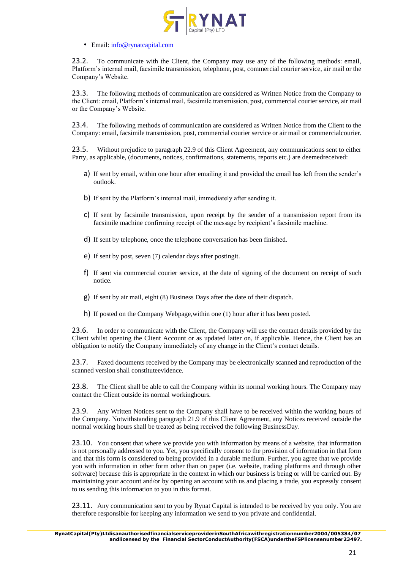

## • Email: info@rynatcapital.com

23.2. To communicate with the Client, the Company may use any of the following methods: email, Platform's internal mail, facsimile transmission, telephone, post, commercial courier service, air mail or the Company's Website.

23.3. The following methods of communication are considered as Written Notice from the Company to the Client: email, Platform's internal mail, facsimile transmission, post, commercial courier service, air mail or the Company's Website.

23.4. The following methods of communication are considered as Written Notice from the Client to the Company: email, facsimile transmission, post, commercial courier service or air mail or commercialcourier.

23.5. Without prejudice to paragraph 22.9 of this Client Agreement, any communications sent to either Party, as applicable, (documents, notices, confirmations, statements, reports etc.) are deemedreceived:

- a) If sent by email, within one hour after emailing it and provided the email has left from the sender's outlook.
- b) If sent by the Platform's internal mail, immediately after sending it.
- c) If sent by facsimile transmission, upon receipt by the sender of a transmission report from its facsimile machine confirming receipt of the message by recipient's facsimile machine.
- d) If sent by telephone, once the telephone conversation has been finished.
- e) If sent by post, seven (7) calendar days after postingit.
- f) If sent via commercial courier service, at the date of signing of the document on receipt of such notice.
- g) If sent by air mail, eight (8) Business Days after the date of their dispatch.
- h) If posted on the Company Webpage,within one (1) hour after it has been posted.

23.6. In order to communicate with the Client, the Company will use the contact details provided by the Client whilst opening the Client Account or as updated latter on, if applicable. Hence, the Client has an obligation to notify the Company immediately of any change in the Client's contact details.

23.7. Faxed documents received by the Company may be electronically scanned and reproduction of the scanned version shall constituteevidence.

23.8. The Client shall be able to call the Company within its normal working hours. The Company may contact the Client outside its normal workinghours.

23.9. Any Written Notices sent to the Company shall have to be received within the working hours of the Company. Notwithstanding paragraph 21.9 of this Client Agreement, any Notices received outside the normal working hours shall be treated as being received the following BusinessDay.

23.10. You consent that where we provide you with information by means of a website, that information is not personally addressed to you. Yet, you specifically consent to the provision of information in that form and that this form is considered to being provided in a durable medium. Further, you agree that we provide you with information in other form other than on paper (i.e. website, trading platforms and through other software) because this is appropriate in the context in which our business is being or will be carried out. By maintaining your account and/or by opening an account with us and placing a trade, you expressly consent to us sending this information to you in this format.

23.11. Any communication sent to you by Rynat Capital is intended to be received by you only. You are therefore responsible for keeping any information we send to you private and confidential.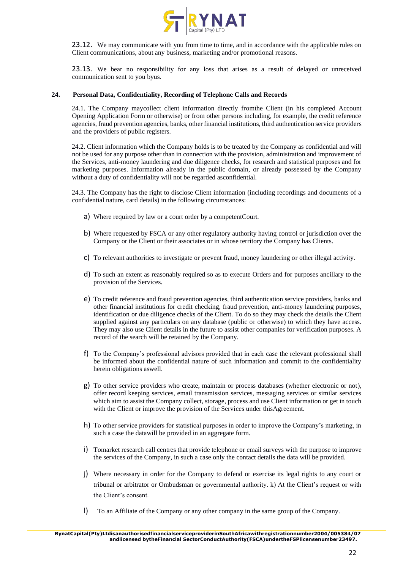

23.12. We may communicate with you from time to time, and in accordance with the applicable rules on Client communications, about any business, marketing and/or promotional reasons.

23.13. We bear no responsibility for any loss that arises as a result of delayed or unreceived communication sent to you byus.

## **24. Personal Data, Confidentiality, Recording of Telephone Calls and Records**

24.1. The Company maycollect client information directly fromthe Client (in his completed Account Opening Application Form or otherwise) or from other persons including, for example, the credit reference agencies, fraud prevention agencies, banks, other financial institutions, third authentication service providers and the providers of public registers.

24.2. Client information which the Company holds is to be treated by the Company as confidential and will not be used for any purpose other than in connection with the provision, administration and improvement of the Services, anti-money laundering and due diligence checks, for research and statistical purposes and for marketing purposes. Information already in the public domain, or already possessed by the Company without a duty of confidentiality will not be regarded asconfidential.

24.3. The Company has the right to disclose Client information (including recordings and documents of a confidential nature, card details) in the following circumstances:

- a) Where required by law or a court order by a competentCourt.
- b) Where requested by FSCA or any other regulatory authority having control or jurisdiction over the Company or the Client or their associates or in whose territory the Company has Clients.
- c) To relevant authorities to investigate or prevent fraud, money laundering or other illegal activity.
- d) To such an extent as reasonably required so as to execute Orders and for purposes ancillary to the provision of the Services.
- e) To credit reference and fraud prevention agencies, third authentication service providers, banks and other financial institutions for credit checking, fraud prevention, anti-money laundering purposes, identification or due diligence checks of the Client. To do so they may check the details the Client supplied against any particulars on any database (public or otherwise) to which they have access. They may also use Client details in the future to assist other companies for verification purposes. A record of the search will be retained by the Company.
- f) To the Company's professional advisors provided that in each case the relevant professional shall be informed about the confidential nature of such information and commit to the confidentiality herein obligations aswell.
- g) To other service providers who create, maintain or process databases (whether electronic or not), offer record keeping services, email transmission services, messaging services or similar services which aim to assist the Company collect, storage, process and use Client information or get in touch with the Client or improve the provision of the Services under this Agreement.
- h) To other service providers for statistical purposes in order to improve the Company's marketing, in such a case the datawill be provided in an aggregate form.
- i) Tomarket research call centres that provide telephone or email surveys with the purpose to improve the services of the Company, in such a case only the contact details the data will be provided.
- j) Where necessary in order for the Company to defend or exercise its legal rights to any court or tribunal or arbitrator or Ombudsman or governmental authority. k) At the Client's request or with the Client's consent.
- l) To an Affiliate of the Company or any other company in the same group of the Company.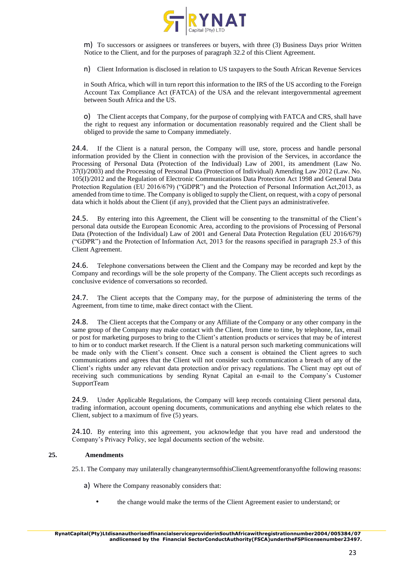

m) To successors or assignees or transferees or buyers, with three (3) Business Days prior Written Notice to the Client, and for the purposes of paragraph 32.2 of this Client Agreement.

n) Client Information is disclosed in relation to US taxpayers to the South African Revenue Services

in South Africa, which will in turn report this information to the IRS of the US according to the Foreign Account Tax Compliance Act (FATCA) of the USA and the relevant intergovernmental agreement between South Africa and the US.

o) The Client accepts that Company, for the purpose of complying with FATCA and CRS, shall have the right to request any information or documentation reasonably required and the Client shall be obliged to provide the same to Company immediately.

24.4. If the Client is a natural person, the Company will use, store, process and handle personal information provided by the Client in connection with the provision of the Services, in accordance the Processing of Personal Data (Protection of the Individual) Law of 2001, its amendment (Law No. 37(I)/2003) and the Processing of Personal Data (Protection of Individual) Amending Law 2012 (Law. No. 105(I)/2012 and the Regulation of Electronic Communications Data Protection Act 1998 and General Data Protection Regulation (EU 2016/679) ("GDPR") and the Protection of Personal Information Act,2013, as amended from time to time. The Company is obliged to supply the Client, on request, with a copy of personal data which it holds about the Client (if any), provided that the Client pays an administrativefee.

24.5. By entering into this Agreement, the Client will be consenting to the transmittal of the Client's personal data outside the European Economic Area, according to the provisions of Processing of Personal Data (Protection of the Individual) Law of 2001 and General Data Protection Regulation (EU 2016/679) ("GDPR") and the Protection of Information Act, 2013 for the reasons specified in paragraph 25.3 of this Client Agreement.

24.6. Telephone conversations between the Client and the Company may be recorded and kept by the Company and recordings will be the sole property of the Company. The Client accepts such recordings as conclusive evidence of conversations so recorded.

24.7. The Client accepts that the Company may, for the purpose of administering the terms of the Agreement, from time to time, make direct contact with the Client.

24.8. The Client accepts that the Company or any Affiliate of the Company or any other company in the same group of the Company may make contact with the Client, from time to time, by telephone, fax, email or post for marketing purposes to bring to the Client's attention products or services that may be of interest to him or to conduct market research. If the Client is a natural person such marketing communications will be made only with the Client's consent. Once such a consent is obtained the Client agrees to such communications and agrees that the Client will not consider such communication a breach of any of the Client's rights under any relevant data protection and/or privacy regulations. The Client may opt out of receiving such communications by sending Rynat Capital an e-mail to the Company's Customer SupportTeam

24.9. Under Applicable Regulations, the Company will keep records containing Client personal data, trading information, account opening documents, communications and anything else which relates to the Client, subject to a maximum of five (5) years.

24.10. By entering into this agreement, you acknowledge that you have read and understood the Company's Privacy Policy, see legal documents section of the website.

## **25. Amendments**

25.1. The Company may unilaterally changeanytermsofthisClientAgreementforanyofthe following reasons:

- a) Where the Company reasonably considers that:
	- the change would make the terms of the Client Agreement easier to understand; or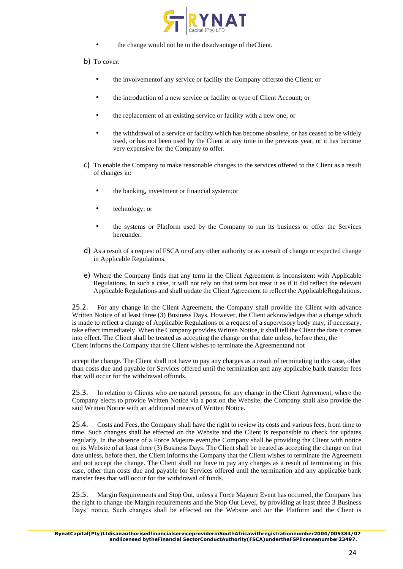

- the change would not be to the disadvantage of theClient.
- b) To cover:
	- the involvementof any service or facility the Company offersto the Client; or
	- the introduction of a new service or facility or type of Client Account; or
	- the replacement of an existing service or facility with a new one; or
	- the withdrawal of a service or facility which has become obsolete, or has ceased to be widely used, or has not been used by the Client at any time in the previous year, or it has become very expensive for the Company to offer.
- c) To enable the Company to make reasonable changes to the services offered to the Client as a result of changes in:
	- the banking, investment or financial system;or
	- technology; or
	- the systems or Platform used by the Company to run its business or offer the Services hereunder.
- d) As a result of a request of FSCA or of any other authority or as a result of change or expected change in Applicable Regulations.
- e) Where the Company finds that any term in the Client Agreement is inconsistent with Applicable Regulations. In such a case, it will not rely on that term but treat it as if it did reflect the relevant Applicable Regulations and shall update the Client Agreement to reflect the ApplicableRegulations.

25.2. For any change in the Client Agreement, the Company shall provide the Client with advance Written Notice of at least three (3) Business Days. However, the Client acknowledges that a change which is made to reflect a change of Applicable Regulations or a request of a supervisory body may, if necessary, take effect immediately. When the Company provides Written Notice, it shall tell the Client the date it comes into effect. The Client shall be treated as accepting the change on that date unless, before then, the Client informs the Company that the Client wishes to terminate the Agreementand not

accept the change. The Client shall not have to pay any charges as a result of terminating in this case, other than costs due and payable for Services offered until the termination and any applicable bank transfer fees that will occur for the withdrawal offunds.

25.3. In relation to Clients who are natural persons, for any change in the Client Agreement, where the Company elects to provide Written Notice via a post on the Website, the Company shall also provide the said Written Notice with an additional means of Written Notice.

25.4. Costs and Fees, the Company shall have the right to review its costs and various fees, from time to time. Such changes shall be effected on the Website and the Client is responsible to check for updates regularly. In the absence of a Force Majeure event,the Company shall be providing the Client with notice on its Website of at least three (3) Business Days. The Client shall be treated as accepting the change on that date unless, before then, the Client informs the Company that the Client wishes to terminate the Agreement and not accept the change. The Client shall not have to pay any charges as a result of terminating in this case, other than costs due and payable for Services offered until the termination and any applicable bank transfer fees that will occur for the withdrawal of funds.

25.5. Margin Requirements and Stop Out, unless a Force Majeure Event has occurred, the Company has the right to change the Margin requirements and the Stop Out Level, by providing at least three 3 Business Days' notice. Such changes shall be effected on the Website and /or the Platform and the Client is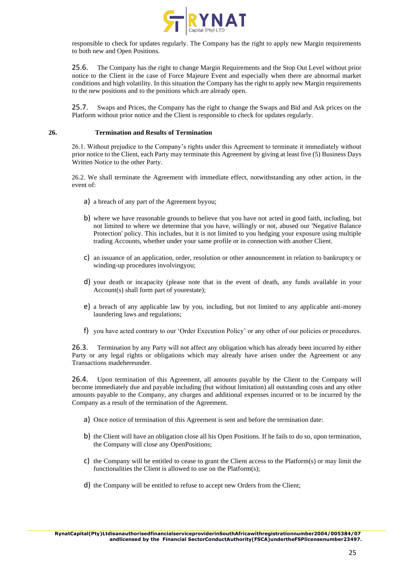

responsible to check for updates regularly. The Company has the right to apply new Margin requirements to both new and Open Positions.

25.6. The Company has the right to change Margin Requirements and the Stop Out Level without prior notice to the Client in the case of Force Majeure Event and especially when there are abnormal market conditions and high volatility. In this situation the Company has the right to apply new Margin requirements to the new positions and to the positions which are already open.

25.7. Swaps and Prices, the Company has the right to change the Swaps and Bid and Ask prices on the Platform without prior notice and the Client is responsible to check for updates regularly.

## **26. Termination and Results of Termination**

26.1. Without prejudice to the Company's rights under this Agreement to terminate it immediately without prior notice to the Client, each Party may terminate this Agreement by giving at least five (5) Business Days Written Notice to the other Party.

26.2. We shall terminate the Agreement with immediate effect, notwithstanding any other action, in the event of:

- a) a breach of any part of the Agreement byyou;
- b) where we have reasonable grounds to believe that you have not acted in good faith, including, but not limited to where we determine that you have, willingly or not, abused our 'Negative Balance Protection' policy. This includes, but it is not limited to you hedging your exposure using multiple trading Accounts, whether under your same profile or in connection with another Client.
- c) an issuance of an application, order, resolution or other announcement in relation to bankruptcy or winding-up procedures involvingyou;
- d) your death or incapacity (please note that in the event of death, any funds available in your Account(s) shall form part of yourestate);
- e) a breach of any applicable law by you, including, but not limited to any applicable anti-money laundering laws and regulations;
- f) you have acted contrary to our 'Order Execution Policy' or any other of our policies or procedures.

26.3. Termination by any Party will not affect any obligation which has already been incurred by either Party or any legal rights or obligations which may already have arisen under the Agreement or any Transactions madehereunder.

26.4. Upon termination of this Agreement, all amounts payable by the Client to the Company will become immediately due and payable including (but without limitation) all outstanding costs and any other amounts payable to the Company, any charges and additional expenses incurred or to be incurred by the Company as a result of the termination of the Agreement.

- a) Once notice of termination of this Agreement is sent and before the termination date:
- b) the Client will have an obligation close all his Open Positions. If he fails to do so, upon termination, the Company will close any OpenPositions;
- c) the Company will be entitled to cease to grant the Client access to the Platform(s) or may limit the functionalities the Client is allowed to use on the Platform(s);
- d) the Company will be entitled to refuse to accept new Orders from the Client;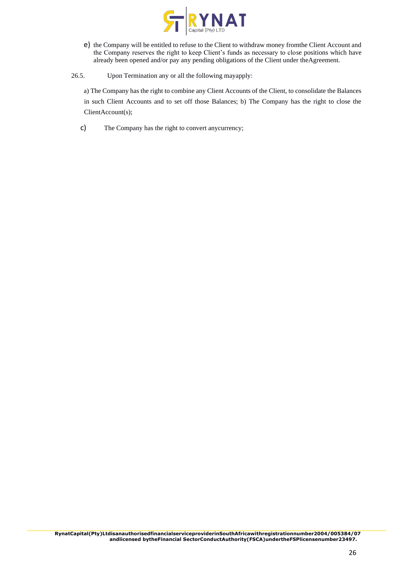

- e) the Company will be entitled to refuse to the Client to withdraw money fromthe Client Account and the Company reserves the right to keep Client's funds as necessary to close positions which have already been opened and/or pay any pending obligations of the Client under theAgreement.
- 26.5. Upon Termination any or all the following mayapply:

a) The Company has the right to combine any Client Accounts of the Client, to consolidate the Balances in such Client Accounts and to set off those Balances; b) The Company has the right to close the ClientAccount(s);

c) The Company has the right to convert anycurrency;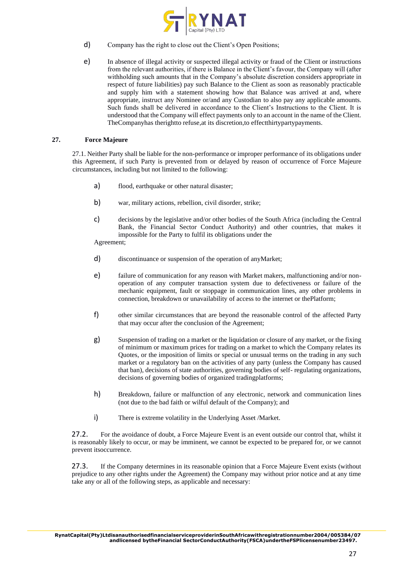

- d) Company has the right to close out the Client's Open Positions;
- e) In absence of illegal activity or suspected illegal activity or fraud of the Client or instructions from the relevant authorities, if there is Balance in the Client's favour, the Company will (after withholding such amounts that in the Company's absolute discretion considers appropriate in respect of future liabilities) pay such Balance to the Client as soon as reasonably practicable and supply him with a statement showing how that Balance was arrived at and, where appropriate, instruct any Nominee or/and any Custodian to also pay any applicable amounts. Such funds shall be delivered in accordance to the Client's Instructions to the Client. It is understood that the Company will effect payments only to an account in the name of the Client. TheCompanyhas therightto refuse,at its discretion,to effectthirtypartypayments.

# **27. Force Majeure**

27.1. Neither Party shall be liable for the non-performance or improper performance of its obligations under this Agreement, if such Party is prevented from or delayed by reason of occurrence of Force Majeure circumstances, including but not limited to the following:

- a) flood, earthquake or other natural disaster;
- b) war, military actions, rebellion, civil disorder, strike;
- c) decisions by the legislative and/or other bodies of the South Africa (including the Central Bank, the Financial Sector Conduct Authority) and other countries, that makes it impossible for the Party to fulfil its obligations under the

Agreement;

- d) discontinuance or suspension of the operation of anyMarket;
- e) failure of communication for any reason with Market makers, malfunctioning and/or nonoperation of any computer transaction system due to defectiveness or failure of the mechanic equipment, fault or stoppage in communication lines, any other problems in connection, breakdown or unavailability of access to the internet or thePlatform;
- f) other similar circumstances that are beyond the reasonable control of the affected Party that may occur after the conclusion of the Agreement;
- g) Suspension of trading on a market or the liquidation or closure of any market, or the fixing of minimum or maximum prices for trading on a market to which the Company relates its Quotes, or the imposition of limits or special or unusual terms on the trading in any such market or a regulatory ban on the activities of any party (unless the Company has caused that ban), decisions of state authorities, governing bodies of self- regulating organizations, decisions of governing bodies of organized tradingplatforms;
- h) Breakdown, failure or malfunction of any electronic, network and communication lines (not due to the bad faith or wilful default of the Company); and
- i) There is extreme volatility in the Underlying Asset /Market.

27.2. For the avoidance of doubt, a Force Majeure Event is an event outside our control that, whilst it is reasonably likely to occur, or may be imminent, we cannot be expected to be prepared for, or we cannot prevent itsoccurrence.

27.3. If the Company determines in its reasonable opinion that a Force Majeure Event exists (without prejudice to any other rights under the Agreement) the Company may without prior notice and at any time take any or all of the following steps, as applicable and necessary: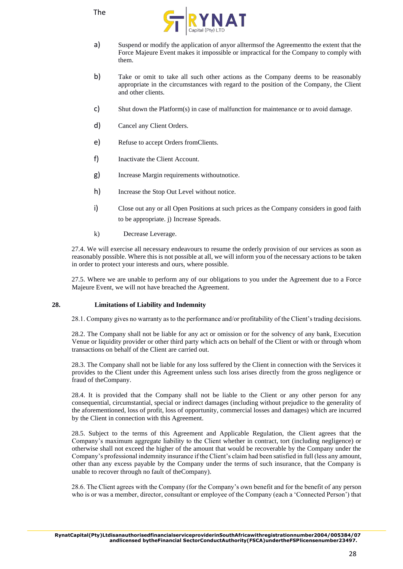

- a) Suspend or modify the application of anyor alltermsof the Agreementto the extent that the Force Majeure Event makes it impossible or impractical for the Company to comply with them.
- b) Take or omit to take all such other actions as the Company deems to be reasonably appropriate in the circumstances with regard to the position of the Company, the Client and other clients.
- c) Shut down the Platform(s) in case of malfunction for maintenance or to avoid damage.
- d) Cancel any Client Orders.
- e) Refuse to accept Orders fromClients.
- f) Inactivate the Client Account.
- g) Increase Margin requirements withoutnotice.
- h) Increase the Stop Out Level without notice.
- i) Close out any or all Open Positions at such prices as the Company considers in good faith to be appropriate. j) Increase Spreads.
- k) Decrease Leverage.

27.4. We will exercise all necessary endeavours to resume the orderly provision of our services as soon as reasonably possible. Where this is not possible at all, we will inform you of the necessary actions to be taken in order to protect your interests and ours, where possible.

27.5. Where we are unable to perform any of our obligations to you under the Agreement due to a Force Majeure Event, we will not have breached the Agreement.

## **28. Limitations of Liability and Indemnity**

28.1. Company gives no warranty as to the performance and/or profitability of the Client's trading decisions.

28.2. The Company shall not be liable for any act or omission or for the solvency of any bank, Execution Venue or liquidity provider or other third party which acts on behalf of the Client or with or through whom transactions on behalf of the Client are carried out.

28.3. The Company shall not be liable for any loss suffered by the Client in connection with the Services it provides to the Client under this Agreement unless such loss arises directly from the gross negligence or fraud of theCompany.

28.4. It is provided that the Company shall not be liable to the Client or any other person for any consequential, circumstantial, special or indirect damages (including without prejudice to the generality of the aforementioned, loss of profit, loss of opportunity, commercial losses and damages) which are incurred by the Client in connection with this Agreement.

28.5. Subject to the terms of this Agreement and Applicable Regulation, the Client agrees that the Company's maximum aggregate liability to the Client whether in contract, tort (including negligence) or otherwise shall not exceed the higher of the amount that would be recoverable by the Company under the Company's professional indemnity insurance if the Client's claim had been satisfied in full (less any amount, other than any excess payable by the Company under the terms of such insurance, that the Company is unable to recover through no fault of theCompany).

28.6. The Client agrees with the Company (for the Company's own benefit and for the benefit of any person who is or was a member, director, consultant or employee of the Company (each a 'Connected Person') that

**RynatCapital(Pty)LtdisanauthorisedfinancialserviceproviderinSouthAfricawithregistrationnumber2004/005384/07 andlicensed bytheFinancial SectorConductAuthority(FSCA)undertheFSPlicensenumber23497.**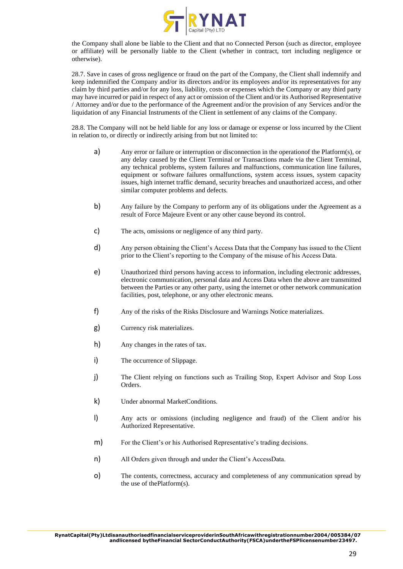

the Company shall alone be liable to the Client and that no Connected Person (such as director, employee or affiliate) will be personally liable to the Client (whether in contract, tort including negligence or otherwise).

28.7. Save in cases of gross negligence or fraud on the part of the Company, the Client shall indemnify and keep indemnified the Company and/or its directors and/or its employees and/or its representatives for any claim by third parties and/or for any loss, liability, costs or expenses which the Company or any third party may have incurred or paid in respect of any act or omission of the Client and/or its Authorised Representative / Attorney and/or due to the performance of the Agreement and/or the provision of any Services and/or the liquidation of any Financial Instruments of the Client in settlement of any claims of the Company.

28.8. The Company will not be held liable for any loss or damage or expense or loss incurred by the Client in relation to, or directly or indirectly arising from but not limited to:

- a) Any error or failure or interruption or disconnection in the operationof the Platform(s), or any delay caused by the Client Terminal or Transactions made via the Client Terminal, any technical problems, system failures and malfunctions, communication line failures, equipment or software failures ormalfunctions, system access issues, system capacity issues, high internet traffic demand, security breaches and unauthorized access, and other similar computer problems and defects.
- b) Any failure by the Company to perform any of its obligations under the Agreement as a result of Force Majeure Event or any other cause beyond its control.
- c) The acts, omissions or negligence of any third party.
- d) Any person obtaining the Client's Access Data that the Company has issued to the Client prior to the Client's reporting to the Company of the misuse of his Access Data.
- e) Unauthorized third persons having access to information, including electronic addresses, electronic communication, personal data and Access Data when the above are transmitted between the Parties or any other party, using the internet or other network communication facilities, post, telephone, or any other electronic means.
- f) Any of the risks of the Risks Disclosure and Warnings Notice materializes.
- g) Currency risk materializes.
- h) Any changes in the rates of tax.
- i) The occurrence of Slippage.
- j) The Client relying on functions such as Trailing Stop, Expert Advisor and Stop Loss Orders.
- k) Under abnormal MarketConditions.
- l) Any acts or omissions (including negligence and fraud) of the Client and/or his Authorized Representative.
- m) For the Client's or his Authorised Representative's trading decisions.
- n) All Orders given through and under the Client's AccessData.
- o) The contents, correctness, accuracy and completeness of any communication spread by the use of thePlatform(s).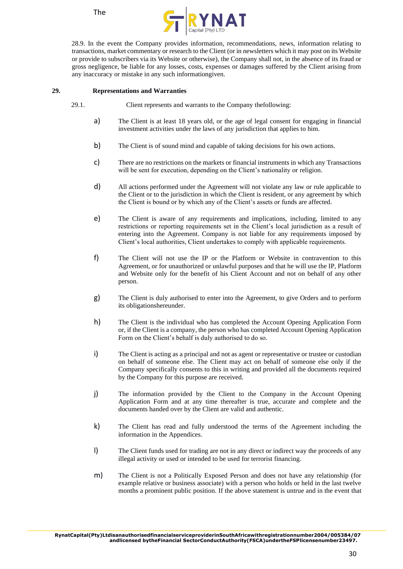



28.9. In the event the Company provides information, recommendations, news, information relating to transactions, market commentary or research to the Client (or in newsletters which it may post on its Website or provide to subscribers via its Website or otherwise), the Company shall not, in the absence of its fraud or gross negligence, be liable for any losses, costs, expenses or damages suffered by the Client arising from any inaccuracy or mistake in any such informationgiven.

# **29. Representations and Warranties**

- 29.1. Client represents and warrants to the Company thefollowing:
	- a) The Client is at least 18 years old, or the age of legal consent for engaging in financial investment activities under the laws of any jurisdiction that applies to him.
	- b) The Client is of sound mind and capable of taking decisions for his own actions.
	- c) There are no restrictions on the markets or financial instruments in which any Transactions will be sent for execution, depending on the Client's nationality or religion.
	- d) All actions performed under the Agreement will not violate any law or rule applicable to the Client or to the jurisdiction in which the Client is resident, or any agreement by which the Client is bound or by which any of the Client's assets or funds are affected.
	- e) The Client is aware of any requirements and implications, including, limited to any restrictions or reporting requirements set in the Client's local jurisdiction as a result of entering into the Agreement. Company is not liable for any requirements imposed by Client's local authorities, Client undertakes to comply with applicable requirements.
	- f) The Client will not use the IP or the Platform or Website in contravention to this Agreement, or for unauthorized or unlawful purposes and that he will use the IP, Platform and Website only for the benefit of his Client Account and not on behalf of any other person.
	- g) The Client is duly authorised to enter into the Agreement, to give Orders and to perform its obligationshereunder.
	- h) The Client is the individual who has completed the Account Opening Application Form or, if the Client is a company, the person who has completed Account Opening Application Form on the Client's behalf is duly authorised to do so.
	- i) The Client is acting as a principal and not as agent or representative or trustee or custodian on behalf of someone else. The Client may act on behalf of someone else only if the Company specifically consents to this in writing and provided all the documents required by the Company for this purpose are received.
	- j) The information provided by the Client to the Company in the Account Opening Application Form and at any time thereafter is true, accurate and complete and the documents handed over by the Client are valid and authentic.
	- k) The Client has read and fully understood the terms of the Agreement including the information in the Appendices.
	- l) The Client funds used for trading are not in any direct or indirect way the proceeds of any illegal activity or used or intended to be used for terrorist financing.
	- m) The Client is not a Politically Exposed Person and does not have any relationship (for example relative or business associate) with a person who holds or held in the last twelve months a prominent public position. If the above statement is untrue and in the event that

**RynatCapital(Pty)LtdisanauthorisedfinancialserviceproviderinSouthAfricawithregistrationnumber2004/005384/07 andlicensed bytheFinancial SectorConductAuthority(FSCA)undertheFSPlicensenumber23497.**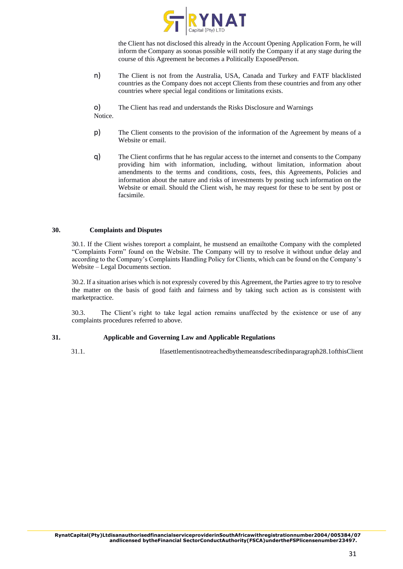

the Client has not disclosed this already in the Account Opening Application Form, he will inform the Company as soonas possible will notify the Company if at any stage during the course of this Agreement he becomes a Politically ExposedPerson.

n) The Client is not from the Australia, USA, Canada and Turkey and FATF blacklisted countries as the Company does not accept Clients from these countries and from any other countries where special legal conditions or limitations exists.

o) The Client has read and understands the Risks Disclosure and Warnings Notice.

- p) The Client consents to the provision of the information of the Agreement by means of a Website or email.
- q) The Client confirms that he has regular access to the internet and consents to the Company providing him with information, including, without limitation, information about amendments to the terms and conditions, costs, fees, this Agreements, Policies and information about the nature and risks of investments by posting such information on the Website or email. Should the Client wish, he may request for these to be sent by post or facsimile.

## **30. Complaints and Disputes**

30.1. If the Client wishes toreport a complaint, he mustsend an emailtothe Company with the completed "Complaints Form" found on the Website. The Company will try to resolve it without undue delay and according to the Company's Complaints Handling Policy for Clients, which can be found on the Company's Website – Legal Documents section.

30.2. If a situation arises which is not expressly covered by this Agreement, the Parties agree to try to resolve the matter on the basis of good faith and fairness and by taking such action as is consistent with marketpractice.

30.3. The Client's right to take legal action remains unaffected by the existence or use of any complaints procedures referred to above.

## **31. Applicable and Governing Law and Applicable Regulations**

31.1. Ifasettlementisnotreachedbythemeansdescribedinparagraph28.1ofthisClient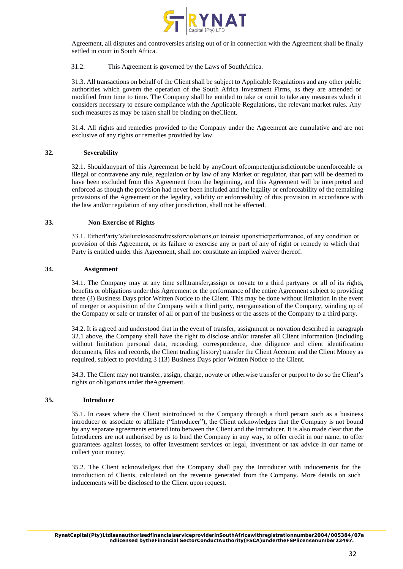

Agreement, all disputes and controversies arising out of or in connection with the Agreement shall be finally settled in court in South Africa.

## 31.2. This Agreement is governed by the Laws of SouthAfrica.

31.3. All transactions on behalf of the Client shall be subject to Applicable Regulations and any other public authorities which govern the operation of the South Africa Investment Firms, as they are amended or modified from time to time. The Company shall be entitled to take or omit to take any measures which it considers necessary to ensure compliance with the Applicable Regulations, the relevant market rules. Any such measures as may be taken shall be binding on theClient.

31.4. All rights and remedies provided to the Company under the Agreement are cumulative and are not exclusive of any rights or remedies provided by law.

#### **32. Severability**

32.1. Shouldanypart of this Agreement be held by anyCourt ofcompetentjurisdictiontobe unenforceable or illegal or contravene any rule, regulation or by law of any Market or regulator, that part will be deemed to have been excluded from this Agreement from the beginning, and this Agreement will be interpreted and enforced as though the provision had never been included and the legality or enforceability of the remaining provisions of the Agreement or the legality, validity or enforceability of this provision in accordance with the law and/or regulation of any other jurisdiction, shall not be affected.

#### **33. Non-Exercise of Rights**

33.1. EitherParty'sfailuretoseekredressforviolations,or toinsist uponstrictperformance, of any condition or provision of this Agreement, or its failure to exercise any or part of any of right or remedy to which that Party is entitled under this Agreement, shall not constitute an implied waiver thereof.

#### **34. Assignment**

34.1. The Company may at any time sell,transfer,assign or novate to a third partyany or all of its rights, benefits or obligations under this Agreement or the performance of the entire Agreement subject to providing three (3) Business Days prior Written Notice to the Client. This may be done without limitation in the event of merger or acquisition of the Company with a third party, reorganisation of the Company, winding up of the Company or sale or transfer of all or part of the business or the assets of the Company to a third party.

34.2. It is agreed and understood that in the event of transfer, assignment or novation described in paragraph 32.1 above, the Company shall have the right to disclose and/or transfer all Client Information (including without limitation personal data, recording, correspondence, due diligence and client identification documents, files and records, the Client trading history) transfer the Client Account and the Client Money as required, subject to providing 3 (13) Business Days prior Written Notice to the Client.

34.3. The Client may not transfer, assign, charge, novate or otherwise transfer or purport to do so the Client's rights or obligations under theAgreement.

#### **35. Introducer**

35.1. In cases where the Client isintroduced to the Company through a third person such as a business introducer or associate or affiliate ("Introducer"), the Client acknowledges that the Company is not bound by any separate agreements entered into between the Client and the Introducer. It is also made clear that the Introducers are not authorised by us to bind the Company in any way, to offer credit in our name, to offer guarantees against losses, to offer investment services or legal, investment or tax advice in our name or collect your money.

35.2. The Client acknowledges that the Company shall pay the Introducer with inducements for the introduction of Clients, calculated on the revenue generated from the Company. More details on such inducements will be disclosed to the Client upon request.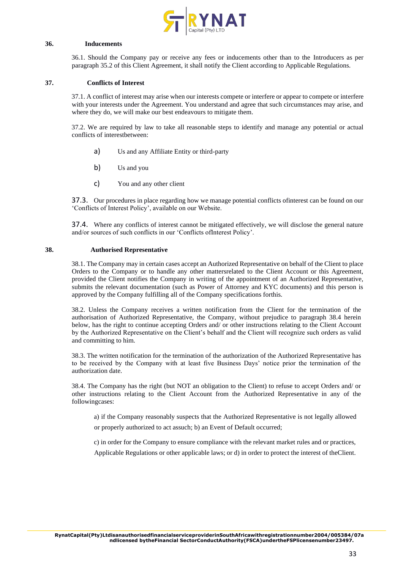

#### **36. Inducements**

36.1. Should the Company pay or receive any fees or inducements other than to the Introducers as per paragraph 35.2 of this Client Agreement, it shall notify the Client according to Applicable Regulations.

# **37. Conflicts of Interest**

37.1. A conflict of interest may arise when our interests compete or interfere or appear to compete or interfere with your interests under the Agreement. You understand and agree that such circumstances may arise, and where they do, we will make our best endeavours to mitigate them.

37.2. We are required by law to take all reasonable steps to identify and manage any potential or actual conflicts of interestbetween:

- a) Us and any Affiliate Entity or third-party
- b) Us and you
- c) You and any other client

37.3. Our procedures in place regarding how we manage potential conflicts ofinterest can be found on our 'Conflicts of Interest Policy', available on our Website.

37.4. Where any conflicts of interest cannot be mitigated effectively, we will disclose the general nature and/or sources of such conflicts in our 'Conflicts ofInterest Policy'.

#### **38. Authorised Representative**

38.1. The Company may in certain cases accept an Authorized Representative on behalf of the Client to place Orders to the Company or to handle any other mattersrelated to the Client Account or this Agreement, provided the Client notifies the Company in writing of the appointment of an Authorized Representative, submits the relevant documentation (such as Power of Attorney and KYC documents) and this person is approved by the Company fulfilling all of the Company specifications forthis.

38.2. Unless the Company receives a written notification from the Client for the termination of the authorisation of Authorized Representative, the Company, without prejudice to paragraph 38.4 herein below, has the right to continue accepting Orders and/ or other instructions relating to the Client Account by the Authorized Representative on the Client's behalf and the Client will recognize such orders as valid and committing to him.

38.3. The written notification for the termination of the authorization of the Authorized Representative has to be received by the Company with at least five Business Days' notice prior the termination of the authorization date.

38.4. The Company has the right (but NOT an obligation to the Client) to refuse to accept Orders and/ or other instructions relating to the Client Account from the Authorized Representative in any of the followingcases:

a) if the Company reasonably suspects that the Authorized Representative is not legally allowed

or properly authorized to act assuch; b) an Event of Default occurred;

c) in order for the Company to ensure compliance with the relevant market rules and or practices,

Applicable Regulations or other applicable laws; or d) in order to protect the interest of theClient.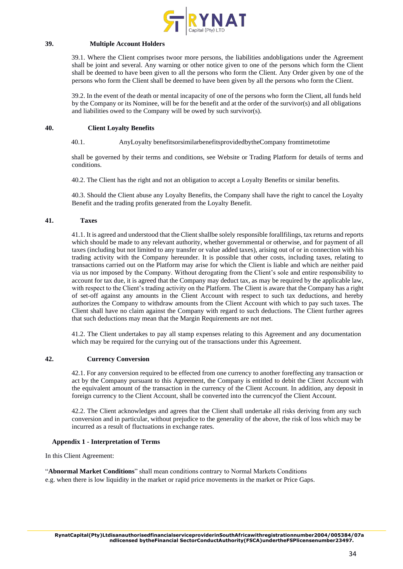

## **39. Multiple Account Holders**

39.1. Where the Client comprises twoor more persons, the liabilities andobligations under the Agreement shall be joint and several. Any warning or other notice given to one of the persons which form the Client shall be deemed to have been given to all the persons who form the Client. Any Order given by one of the persons who form the Client shall be deemed to have been given by all the persons who form the Client.

39.2. In the event of the death or mental incapacity of one of the persons who form the Client, all funds held by the Company or its Nominee, will be for the benefit and at the order of the survivor(s) and all obligations and liabilities owed to the Company will be owed by such survivor(s).

## **40. Client Loyalty Benefits**

#### 40.1. AnyLoyalty benefitsorsimilarbenefitsprovidedbytheCompany fromtimetotime

shall be governed by their terms and conditions, see Website or Trading Platform for details of terms and conditions.

40.2. The Client has the right and not an obligation to accept a Loyalty Benefits or similar benefits.

40.3. Should the Client abuse any Loyalty Benefits, the Company shall have the right to cancel the Loyalty Benefit and the trading profits generated from the Loyalty Benefit.

# **41. Taxes**

41.1. It is agreed and understood that the Client shallbe solely responsible forallfilings, tax returns and reports which should be made to any relevant authority, whether governmental or otherwise, and for payment of all taxes (including but not limited to any transfer or value added taxes), arising out of or in connection with his trading activity with the Company hereunder. It is possible that other costs, including taxes, relating to transactions carried out on the Platform may arise for which the Client is liable and which are neither paid via us nor imposed by the Company. Without derogating from the Client's sole and entire responsibility to account for tax due, it is agreed that the Company may deduct tax, as may be required by the applicable law, with respect to the Client's trading activity on the Platform. The Client is aware that the Company has a right of set-off against any amounts in the Client Account with respect to such tax deductions, and hereby authorizes the Company to withdraw amounts from the Client Account with which to pay such taxes. The Client shall have no claim against the Company with regard to such deductions. The Client further agrees that such deductions may mean that the Margin Requirements are not met.

41.2. The Client undertakes to pay all stamp expenses relating to this Agreement and any documentation which may be required for the currying out of the transactions under this Agreement.

## **42. Currency Conversion**

42.1. For any conversion required to be effected from one currency to another foreffecting any transaction or act by the Company pursuant to this Agreement, the Company is entitled to debit the Client Account with the equivalent amount of the transaction in the currency of the Client Account. In addition, any deposit in foreign currency to the Client Account, shall be converted into the currencyof the Client Account.

42.2. The Client acknowledges and agrees that the Client shall undertake all risks deriving from any such conversion and in particular, without prejudice to the generality of the above, the risk of loss which may be incurred as a result of fluctuations in exchange rates.

## **Appendix 1 - Interpretation of Terms**

In this Client Agreement:

"**Abnormal Market Conditions**" shall mean conditions contrary to Normal Markets Conditions e.g. when there is low liquidity in the market or rapid price movements in the market or Price Gaps.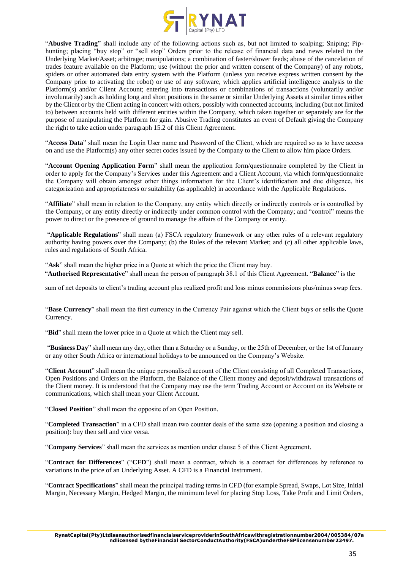

"**Abusive Trading**" shall include any of the following actions such as, but not limited to scalping; Sniping; Piphunting; placing "buy stop" or "sell stop" Orders prior to the release of financial data and news related to the Underlying Market/Asset; arbitrage; manipulations; a combination of faster/slower feeds; abuse of the cancelation of trades feature available on the Platform; use (without the prior and written consent of the Company) of any robots, spiders or other automated data entry system with the Platform (unless you receive express written consent by the Company prior to activating the robot) or use of any software, which applies artificial intelligence analysis to the Platform(s) and/or Client Account; entering into transactions or combinations of transactions (voluntarily and/or involuntarily) such as holding long and short positions in the same or similar Underlying Assets at similar times either by the Client or by the Client acting in concert with others, possibly with connected accounts, including (but not limited to) between accounts held with different entities within the Company, which taken together or separately are for the purpose of manipulating the Platform for gain. Abusive Trading constitutes an event of Default giving the Company the right to take action under paragraph 15.2 of this Client Agreement.

"**Access Data**" shall mean the Login User name and Password of the Client, which are required so as to have access on and use the Platform(s) any other secret codes issued by the Company to the Client to allow him place Orders.

"**Account Opening Application Form**" shall mean the application form/questionnaire completed by the Client in order to apply for the Company's Services under this Agreement and a Client Account, via which form/questionnaire the Company will obtain amongst other things information for the Client's identification and due diligence, his categorization and appropriateness or suitability (as applicable) in accordance with the Applicable Regulations.

"**Affiliate**" shall mean in relation to the Company, any entity which directly or indirectly controls or is controlled by the Company, or any entity directly or indirectly under common control with the Company; and "control" means the power to direct or the presence of ground to manage the affairs of the Company or entity.

"**Applicable Regulations**" shall mean (a) FSCA regulatory framework or any other rules of a relevant regulatory authority having powers over the Company; (b) the Rules of the relevant Market; and (c) all other applicable laws, rules and regulations of South Africa.

"**Ask**" shall mean the higher price in a Quote at which the price the Client may buy. "**Authorised Representative**" shall mean the person of paragraph 38.1 of this Client Agreement. "**Balance**" is the

sum of net deposits to client's trading account plus realized profit and loss minus commissions plus/minus swap fees.

"**Base Currency**" shall mean the first currency in the Currency Pair against which the Client buys or sells the Quote Currency.

"**Bid**" shall mean the lower price in a Quote at which the Client may sell.

"**Business Day**" shall mean any day, other than a Saturday or a Sunday, or the 25th of December, or the 1st of January or any other South Africa or international holidays to be announced on the Company's Website.

"**Client Account**" shall mean the unique personalised account of the Client consisting of all Completed Transactions, Open Positions and Orders on the Platform, the Balance of the Client money and deposit/withdrawal transactions of the Client money. It is understood that the Company may use the term Trading Account or Account on its Website or communications, which shall mean your Client Account.

"**Closed Position**" shall mean the opposite of an Open Position.

"**Completed Transaction**" in a CFD shall mean two counter deals of the same size (opening a position and closing a position): buy then sell and vice versa.

"**Company Services**" shall mean the services as mention under clause 5 of this Client Agreement.

"**Contract for Differences**" ("**CFD**") shall mean a contract, which is a contract for differences by reference to variations in the price of an Underlying Asset. A CFD is a Financial Instrument.

"**Contract Specifications**" shall mean the principal trading terms in CFD (for example Spread, Swaps, Lot Size, Initial Margin, Necessary Margin, Hedged Margin, the minimum level for placing Stop Loss, Take Profit and Limit Orders,

**RynatCapital(Pty)LtdisanauthorisedfinancialserviceproviderinSouthAfricawithregistrationnumber2004/005384/07a ndlicensed bytheFinancial SectorConductAuthority(FSCA)undertheFSPlicensenumber23497.**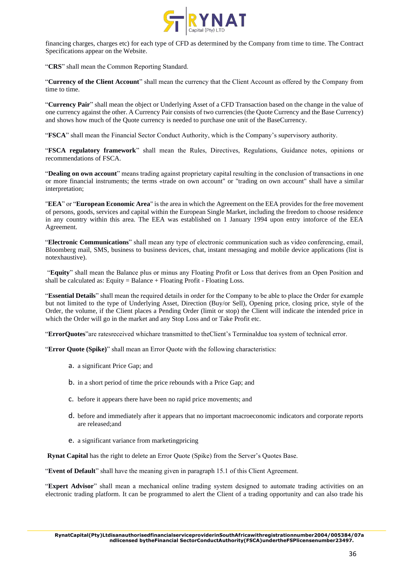

financing charges, charges etc) for each type of CFD as determined by the Company from time to time. The Contract Specifications appear on the Website.

"**CRS**" shall mean the Common Reporting Standard.

"**Currency of the Client Account**" shall mean the currency that the Client Account as offered by the Company from time to time.

"**Currency Pair**" shall mean the object or Underlying Asset of a CFD Transaction based on the change in the value of one currency against the other. A Currency Pair consists of two currencies (the Quote Currency and the Base Currency) and shows how much of the Quote currency is needed to purchase one unit of the BaseCurrency.

"**FSCA**" shall mean the Financial Sector Conduct Authority, which is the Company's supervisory authority.

"**FSCA regulatory framework**" shall mean the Rules, Directives, Regulations, Guidance notes, opinions or recommendations of FSCA.

"**Dealing on own account**" means trading against proprietary capital resulting in the conclusion of transactions in one or more financial instruments; the terms «trade on own account" or "trading on own account" shall have a similar interpretation;

"**EEA**" or "**European Economic Area**" is the area in which the Agreement on the EEA provides for the free movement of persons, goods, services and capital within the European Single Market, including the freedom to choose residence in any country within this area. The EEA was established on 1 January 1994 upon entry intoforce of the EEA Agreement.

"**Electronic Communications**" shall mean any type of electronic communication such as video conferencing, email, Bloomberg mail, SMS, business to business devices, chat, instant messaging and mobile device applications (list is notexhaustive).

"**Equity**" shall mean the Balance plus or minus any Floating Profit or Loss that derives from an Open Position and shall be calculated as: Equity = Balance  $+$  Floating Profit - Floating Loss.

"**Essential Details**" shall mean the required details in order for the Company to be able to place the Order for example but not limited to the type of Underlying Asset, Direction (Buy/or Sell), Opening price, closing price, style of the Order, the volume, if the Client places a Pending Order (limit or stop) the Client will indicate the intended price in which the Order will go in the market and any Stop Loss and or Take Profit etc.

"**ErrorQuotes**"are ratesreceived whichare transmitted to theClient's Terminaldue toa system of technical error.

"**Error Quote (Spike)**" shall mean an Error Quote with the following characteristics:

- a. a significant Price Gap; and
- b. in a short period of time the price rebounds with a Price Gap; and
- c. before it appears there have been no rapid price movements; and
- d. before and immediately after it appears that no important macroeconomic indicators and corporate reports are released;and
- e. a significant variance from marketingpricing

**Rynat Capital** has the right to delete an Error Quote (Spike) from the Server's Quotes Base.

"**Event of Default**" shall have the meaning given in paragraph 15.1 of this Client Agreement.

"**Expert Advisor**" shall mean a mechanical online trading system designed to automate trading activities on an electronic trading platform. It can be programmed to alert the Client of a trading opportunity and can also trade his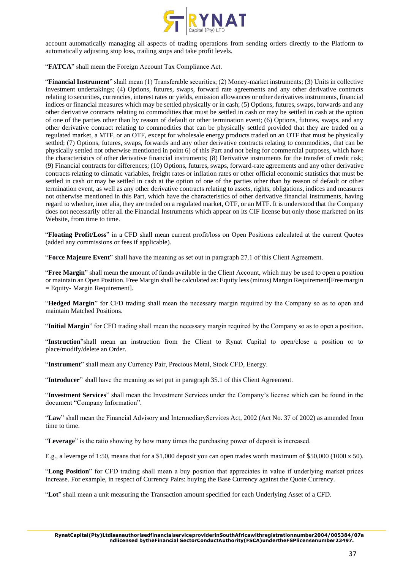

account automatically managing all aspects of trading operations from sending orders directly to the Platform to automatically adjusting stop loss, trailing stops and take profit levels.

"**FATCA**" shall mean the Foreign Account Tax Compliance Act.

"**Financial Instrument**" shall mean (1) Transferable securities; (2) Money-market instruments; (3) Units in collective investment undertakings; (4) Options, futures, swaps, forward rate agreements and any other derivative contracts relating to securities, currencies, interest rates or yields, emission allowances or other derivatives instruments, financial indices or financial measures which may be settled physically or in cash; (5) Options, futures, swaps, forwards and any other derivative contracts relating to commodities that must be settled in cash or may be settled in cash at the option of one of the parties other than by reason of default or other termination event; (6) Options, futures, swaps, and any other derivative contract relating to commodities that can be physically settled provided that they are traded on a regulated market, a MTF, or an OTF, except for wholesale energy products traded on an OTF that must be physically settled; (7) Options, futures, swaps, forwards and any other derivative contracts relating to commodities, that can be physically settled not otherwise mentioned in point 6) of this Part and not being for commercial purposes, which have the characteristics of other derivative financial instruments; (8) Derivative instruments for the transfer of credit risk; (9) Financial contracts for differences; (10) Options, futures, swaps, forward-rate agreements and any other derivative contracts relating to climatic variables, freight rates or inflation rates or other official economic statistics that must be settled in cash or may be settled in cash at the option of one of the parties other than by reason of default or other termination event, as well as any other derivative contracts relating to assets, rights, obligations, indices and measures not otherwise mentioned in this Part, which have the characteristics of other derivative financial instruments, having regard to whether, inter alia, they are traded on a regulated market, OTF, or an MTF. It is understood that the Company does not necessarily offer all the Financial Instruments which appear on its CIF license but only those marketed on its Website, from time to time.

"**Floating Profit/Loss**" in a CFD shall mean current profit/loss on Open Positions calculated at the current Quotes (added any commissions or fees if applicable).

"**Force Majeure Event**" shall have the meaning as set out in paragraph 27.1 of this Client Agreement.

"**Free Margin**" shall mean the amount of funds available in the Client Account, which may be used to open a position or maintain an Open Position. Free Margin shall be calculated as: Equity less (minus) Margin Requirement[Free margin = Equity- Margin Requirement].

"**Hedged Margin**" for CFD trading shall mean the necessary margin required by the Company so as to open and maintain Matched Positions.

"**Initial Margin**" for CFD trading shall mean the necessary margin required by the Company so as to open a position.

"**Instruction**"shall mean an instruction from the Client to Rynat Capital to open/close a position or to place/modify/delete an Order.

"**Instrument**" shall mean any Currency Pair, Precious Metal, Stock CFD, Energy.

"**Introducer**" shall have the meaning as set put in paragraph 35.1 of this Client Agreement.

"**Investment Services**" shall mean the Investment Services under the Company's license which can be found in the document "Company Information".

"**Law**" shall mean the Financial Advisory and IntermediaryServices Act, 2002 (Act No. 37 of 2002) as amended from time to time.

"**Leverage**" is the ratio showing by how many times the purchasing power of deposit is increased.

E.g., a leverage of 1:50, means that for a \$1,000 deposit you can open trades worth maximum of \$50,000 (1000 x 50).

"**Long Position**" for CFD trading shall mean a buy position that appreciates in value if underlying market prices increase. For example, in respect of Currency Pairs: buying the Base Currency against the Quote Currency.

"**Lot**" shall mean a unit measuring the Transaction amount specified for each Underlying Asset of a CFD.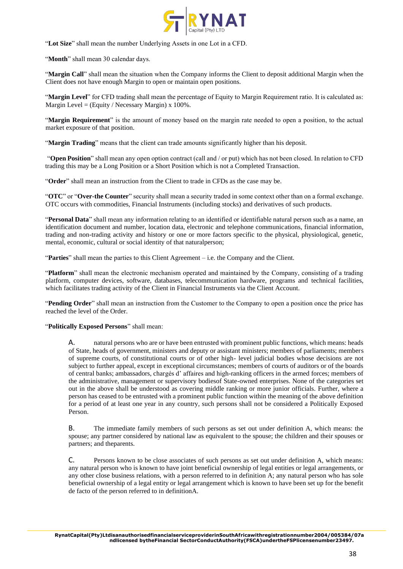

"**Lot Size**" shall mean the number Underlying Assets in one Lot in a CFD.

"**Month**" shall mean 30 calendar days.

"**Margin Call**" shall mean the situation when the Company informs the Client to deposit additional Margin when the Client does not have enough Margin to open or maintain open positions.

"**Margin Level**" for CFD trading shall mean the percentage of Equity to Margin Requirement ratio. It is calculated as: Margin Level =  $(Equity / Necessary Margin) \times 100\%$ .

"**Margin Requirement**" is the amount of money based on the margin rate needed to open a position, to the actual market exposure of that position.

"**Margin Trading**" means that the client can trade amounts significantly higher than his deposit.

"**Open Position**" shall mean any open option contract (call and / or put) which has not been closed. In relation to CFD trading this may be a Long Position or a Short Position which is not a Completed Transaction.

"**Order**" shall mean an instruction from the Client to trade in CFDs as the case may be.

"**OTC**" or "**Over-the Counter**" security shall mean a security traded in some context other than on a formal exchange. OTC occurs with commodities, Financial Instruments (including stocks) and derivatives of such products.

"**Personal Data**" shall mean any information relating to an identified or identifiable natural person such as a name, an identification document and number, location data, electronic and telephone communications, financial information, trading and non-trading activity and history or one or more factors specific to the physical, physiological, genetic, mental, economic, cultural or social identity of that naturalperson;

"**Parties**" shall mean the parties to this Client Agreement – i.e. the Company and the Client.

"**Platform**" shall mean the electronic mechanism operated and maintained by the Company, consisting of a trading platform, computer devices, software, databases, telecommunication hardware, programs and technical facilities, which facilitates trading activity of the Client in Financial Instruments via the Client Account.

"**Pending Order**" shall mean an instruction from the Customer to the Company to open a position once the price has reached the level of the Order.

"**Politically Exposed Persons**" shall mean:

A. natural persons who are or have been entrusted with prominent public functions, which means: heads of State, heads of government, ministers and deputy or assistant ministers; members of parliaments; members of supreme courts, of constitutional courts or of other high- level judicial bodies whose decisions are not subject to further appeal, except in exceptional circumstances; members of courts of auditors or of the boards of central banks; ambassadors, chargés d' affaires and high-ranking officers in the armed forces; members of the administrative, management or supervisory bodiesof State-owned enterprises. None of the categories set out in the above shall be understood as covering middle ranking or more junior officials. Further, where a person has ceased to be entrusted with a prominent public function within the meaning of the above definition for a period of at least one year in any country, such persons shall not be considered a Politically Exposed Person.

B. The immediate family members of such persons as set out under definition A, which means: the spouse; any partner considered by national law as equivalent to the spouse; the children and their spouses or partners; and theparents.

C. Persons known to be close associates of such persons as set out under definition A, which means: any natural person who is known to have joint beneficial ownership of legal entities or legal arrangements, or any other close business relations, with a person referred to in definition A; any natural person who has sole beneficial ownership of a legal entity or legal arrangement which is known to have been set up for the benefit de facto of the person referred to in definitionA.

**RynatCapital(Pty)LtdisanauthorisedfinancialserviceproviderinSouthAfricawithregistrationnumber2004/005384/07a ndlicensed bytheFinancial SectorConductAuthority(FSCA)undertheFSPlicensenumber23497.**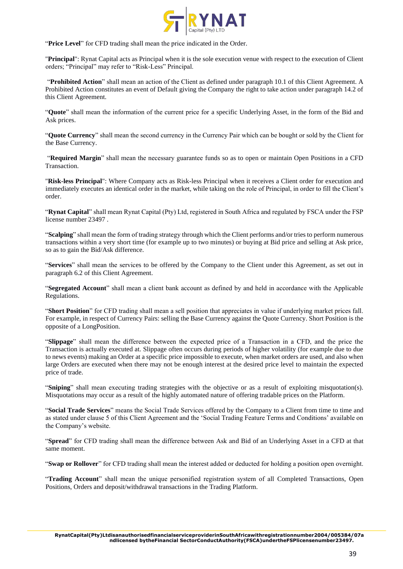

"Price Level" for CFD trading shall mean the price indicated in the Order.

"**Principal**": Rynat Capital acts as Principal when it is the sole execution venue with respect to the execution of Client orders; "Principal" may refer to "Risk-Less" Principal.

"**Prohibited Action**" shall mean an action of the Client as defined under paragraph 10.1 of this Client Agreement. A Prohibited Action constitutes an event of Default giving the Company the right to take action under paragraph 14.2 of this Client Agreement.

"**Quote**" shall mean the information of the current price for a specific Underlying Asset, in the form of the Bid and Ask prices.

"**Quote Currency**" shall mean the second currency in the Currency Pair which can be bought or sold by the Client for the Base Currency.

"**Required Margin**" shall mean the necessary guarantee funds so as to open or maintain Open Positions in a CFD Transaction.

"**Risk-less Principal**": Where Company acts as Risk-less Principal when it receives a Client order for execution and immediately executes an identical order in the market, while taking on the role of Principal, in order to fill the Client's order.

"**Rynat Capital**" shall mean Rynat Capital (Pty) Ltd, registered in South Africa and regulated by FSCA under the FSP license number 23497 .

"**Scalping**" shall mean the form of trading strategy through which the Client performs and/or tries to perform numerous transactions within a very short time (for example up to two minutes) or buying at Bid price and selling at Ask price, so as to gain the Bid/Ask difference.

"**Services**" shall mean the services to be offered by the Company to the Client under this Agreement, as set out in paragraph 6.2 of this Client Agreement.

"**Segregated Account**" shall mean a client bank account as defined by and held in accordance with the Applicable Regulations.

"**Short Position**" for CFD trading shall mean a sell position that appreciates in value if underlying market prices fall. For example, in respect of Currency Pairs: selling the Base Currency against the Quote Currency. Short Position is the opposite of a LongPosition.

"**Slippage**" shall mean the difference between the expected price of a Transaction in a CFD, and the price the Transaction is actually executed at. Slippage often occurs during periods of higher volatility (for example due to due to news events) making an Order at a specific price impossible to execute, when market orders are used, and also when large Orders are executed when there may not be enough interest at the desired price level to maintain the expected price of trade.

"**Sniping**" shall mean executing trading strategies with the objective or as a result of exploiting misquotation(s). Misquotations may occur as a result of the highly automated nature of offering tradable prices on the Platform.

"**Social Trade Services**" means the Social Trade Services offered by the Company to a Client from time to time and as stated under clause 5 of this Client Agreement and the 'Social Trading Feature Terms and Conditions' available on the Company's website.

"**Spread**" for CFD trading shall mean the difference between Ask and Bid of an Underlying Asset in a CFD at that same moment.

"**Swap or Rollover**" for CFD trading shall mean the interest added or deducted for holding a position open overnight.

"**Trading Account**" shall mean the unique personified registration system of all Completed Transactions, Open Positions, Orders and deposit/withdrawal transactions in the Trading Platform.

**RynatCapital(Pty)LtdisanauthorisedfinancialserviceproviderinSouthAfricawithregistrationnumber2004/005384/07a ndlicensed bytheFinancial SectorConductAuthority(FSCA)undertheFSPlicensenumber23497.**